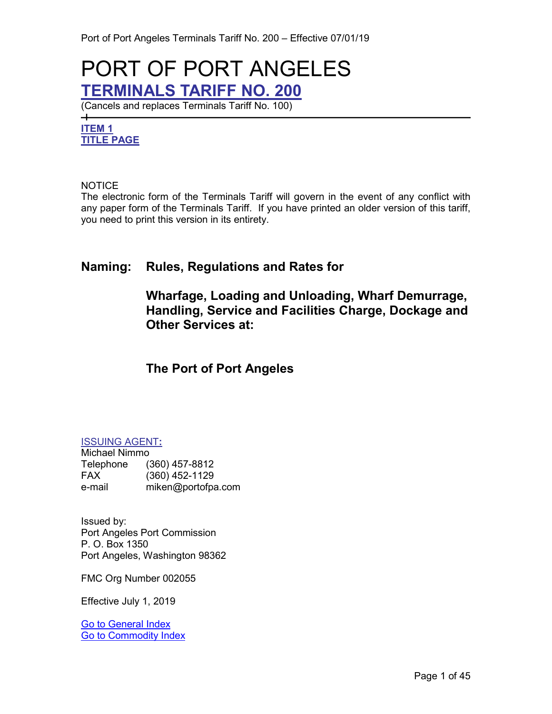# <span id="page-0-3"></span>PORT OF PORT ANGELES **TERMINALS TARIFF NO. 200**

(Cancels and replaces Terminals Tariff No. 100)

# <span id="page-0-2"></span><span id="page-0-0"></span>**ITEM 1 TITLE PAGE**

 $\overline{\phantom{0}}$ 

#### NOTICE

The electronic form of the Terminals Tariff will govern in the event of any conflict with any paper form of the Terminals Tariff. If you have printed an older version of this tariff, you need to print this version in its entirety.

# **Naming: Rules, Regulations and Rates for**

# **Wharfage, Loading and Unloading, Wharf Demurrage, Handling, Service and Facilities Charge, Dockage and Other Services at:**

# **The Port of Port Angeles**

#### <span id="page-0-1"></span>ISSUING AGENT**:**

Michael Nimmo Telephone (360) 457-8812 FAX (360) 452-1129 e-mail miken@portofpa.com

Issued by: Port Angeles Port Commission P. O. Box 1350 Port Angeles, Washington 98362

FMC Org Number 002055

Effective July 1, 2019

[Go to General Index](#page-3-0) [Go to Commodity Index](#page-6-0)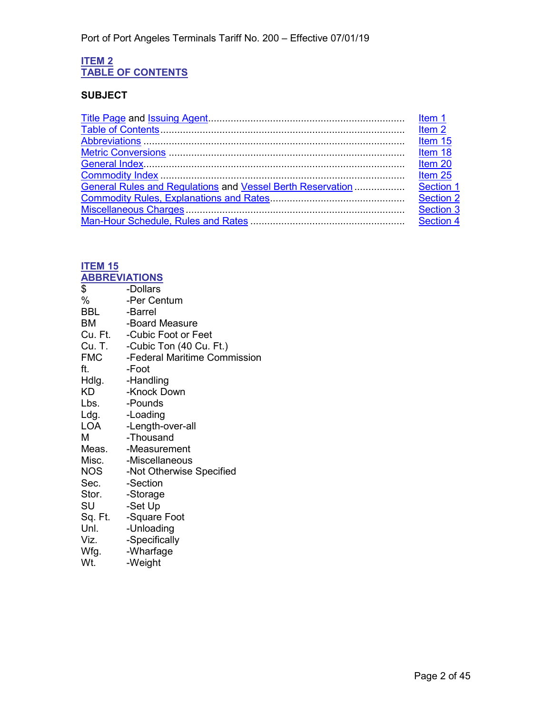#### <span id="page-1-1"></span><span id="page-1-0"></span>**ITEM 2 TABLE OF CONTENTS**

# **SUBJECT**

|                                                            | Item <sub>2</sub> |
|------------------------------------------------------------|-------------------|
|                                                            | Item 15           |
|                                                            | Item 18           |
|                                                            | Item 20           |
|                                                            | Item 25           |
| General Rules and Regulations and Vessel Berth Reservation | Section 1         |
|                                                            | Section 2         |
|                                                            | <b>Section 3</b>  |
|                                                            | Section 4         |
|                                                            |                   |

# <span id="page-1-3"></span>**ITEM 15**

<span id="page-1-2"></span>

| <b>ABBREVIATIONS</b> |                                          |
|----------------------|------------------------------------------|
| \$                   | -Dollars                                 |
| %                    | -Per Centum                              |
| <b>BBL</b>           | -Barrel                                  |
| ВM                   | -Board Measure                           |
|                      | Cu. Ft. - Cubic Foot or Feet             |
|                      | Cu. T. -Cubic Ton (40 Cu. Ft.)           |
|                      | <b>FMC</b> - Federal Maritime Commission |
| ft.                  | -Foot                                    |
|                      | Hdlg. - Handling                         |
| KD                   | -Knock Down                              |
| Lbs.                 | -Pounds                                  |
| Ldg.                 | -Loading                                 |
| LOA                  | -Length-over-all                         |
| м                    | -Thousand                                |
|                      | Meas. - Measurement                      |
|                      | Misc. - Miscellaneous                    |
| NOS                  | -Not Otherwise Specified                 |
| Sec.                 | -Section                                 |
| Stor. - Storage      |                                          |
| SU                   | -Set Up                                  |
|                      | Sq. Ft. - Square Foot                    |
| Unl.                 | -Unloading                               |
| Viz.                 | -Specifically                            |
| Wfg.                 | -Wharfage                                |
| Wt.                  | -Weight                                  |
|                      |                                          |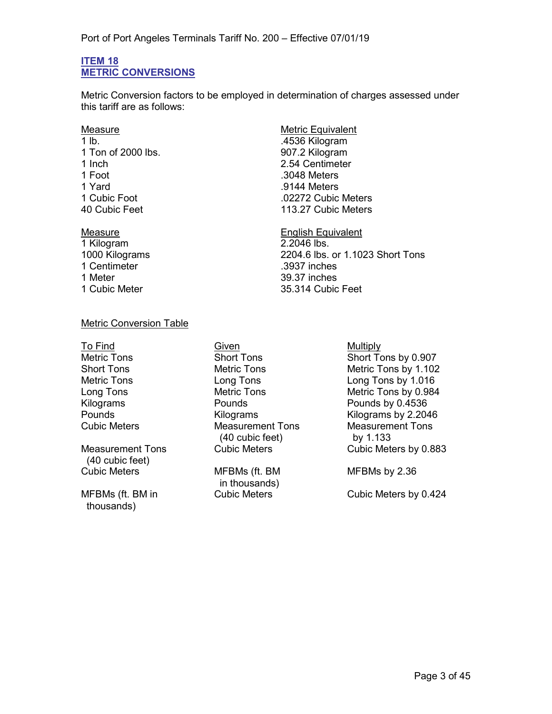#### <span id="page-2-1"></span><span id="page-2-0"></span>**ITEM 18 METRIC CONVERSIONS**

Metric Conversion factors to be employed in determination of charges assessed under this tariff are as follows:

1 lb. .4536 Kilogram 1 Ton of 2000 lbs. 1 Inch 2.54 Centimeter<br>1 Foot 3048 Meters 1 Yard .9144 Meters

1 Kilogram 1 Centimeter .3937 inches 1 Meter 1 2008 1 Meter 1 2008 1 2010 1 2010 1 39.37 inches<br>1 Cubic Meter 1 2009 1 35.314 Cubic

# Measure **Measure** Metric Equivalent .3048 Meters .02272 Cubic Meters 40 Cubic Feet 113.27 Cubic Meters

Measure English Equivalent 1000 Kilograms 2204.6 lbs. or 1.1023 Short Tons 35.314 Cubic Feet

### Metric Conversion Table

Measurement Tons (40 cubic feet) Cubic Meters MFBMs (ft. BM

MFBMs (ft. BM in thousands)

To Find Given **Given** Given **Multiply** Cubic Meters Measurement Tons (40 cubic feet)

in thousands)<br>Cubic Meters

Metric Tons **Short Tons** Short Tons Short Tons by 0.907 Short Tons **Metric Tons** Metric Tons Metric Tons by 1.102 Metric Tons Long Tons Long Tons by 1.016 Long Tons Metric Tons Metric Tons by 0.984 Pounds by 0.4536 Pounds **Example 2.2046** Kilograms **Kilograms** Kilograms by 2.2046 Measurement Tons by 1.133 Cubic Meters by 0.883

MFBMs by 2.36

Cubic Meters by 0.424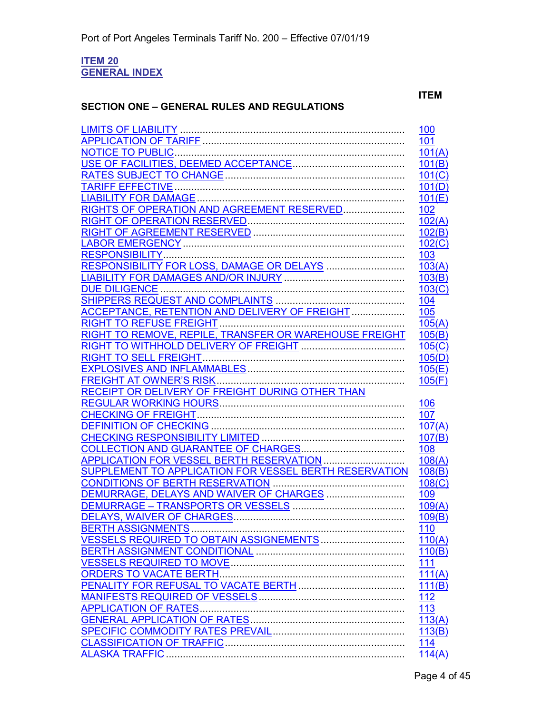#### <span id="page-3-1"></span><span id="page-3-0"></span>**ITEM 20 GENERAL INDEX**

### **SECTION ONE – GENERAL RULES AND REGULATIONS**

# **ITEM**

|                                                        | 100                   |
|--------------------------------------------------------|-----------------------|
|                                                        | 101                   |
|                                                        | 101(A)                |
|                                                        | 101(B)                |
|                                                        | 101(C)                |
|                                                        | 101(D)                |
|                                                        | 101(E)                |
| RIGHTS OF OPERATION AND AGREEMENT RESERVED             | 102                   |
|                                                        | 102(A)                |
|                                                        | 102(B)                |
|                                                        | 102(C)                |
|                                                        | 103                   |
| RESPONSIBILITY FOR LOSS, DAMAGE OR DELAYS              | 103(A)                |
|                                                        | 103(B)                |
| DUE DILIGENCE                                          | 103(C)                |
|                                                        | 104                   |
|                                                        | 105                   |
|                                                        | 105(A)                |
| RIGHT TO REMOVE, REPILE, TRANSFER OR WAREHOUSE FREIGHT | 105(B)                |
|                                                        | 105(C)                |
|                                                        | 105(D)                |
|                                                        | 105(E)                |
|                                                        | 105(F)                |
| RECEIPT OR DELIVERY OF FREIGHT DURING OTHER THAN       |                       |
|                                                        | 106                   |
|                                                        | 107                   |
|                                                        | 107(A)                |
|                                                        | 107(B)                |
|                                                        | 108                   |
| APPLICATION FOR VESSEL BERTH RESERVATION               | 108(A)                |
| SUPPLEMENT TO APPLICATION FOR VESSEL BERTH RESERVATION | 108(B)                |
|                                                        | 108(C)                |
| DEMURRAGE, DELAYS AND WAIVER OF CHARGES                | <u>109</u>            |
|                                                        | 109(A)                |
|                                                        | 109(B)                |
| VESSELS REQUIRED TO OBTAIN ASSIGNEMENTS                | <u> 110</u><br>110(A) |
|                                                        | 110(B)                |
|                                                        | 111                   |
| <b>ORDERS TO VACATE BERTH.</b>                         | 111(A)                |
|                                                        | 111(B)                |
|                                                        | 112                   |
| <b>APPLICATION OF RATES</b>                            | 113                   |
|                                                        | 113(A)                |
|                                                        | 113(B)                |
|                                                        | <u>114</u>            |
|                                                        | 114(A)                |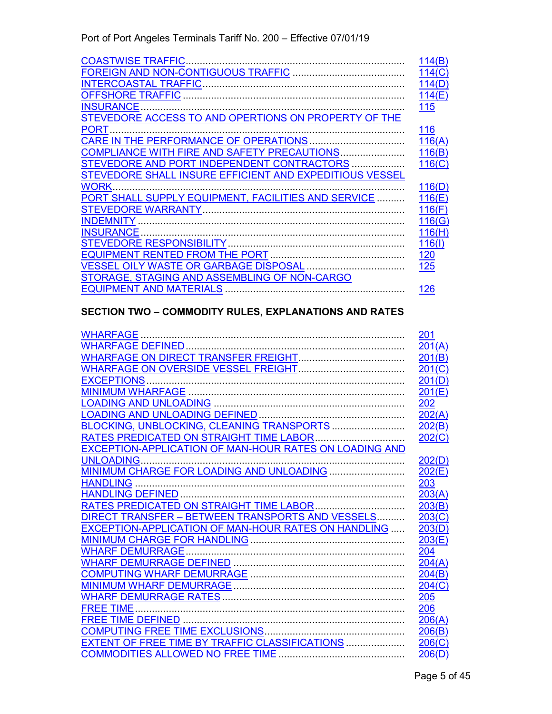| <b>COASTWISE TRAFFIC.</b>                               | 114(B)     |
|---------------------------------------------------------|------------|
|                                                         | 114(C)     |
|                                                         | 114(D)     |
|                                                         | 114(E)     |
| <b>INSURANCE</b>                                        | 115        |
| STEVEDORE ACCESS TO AND OPERTIONS ON PROPERTY OF THE    |            |
| <b>PORT</b>                                             | 116        |
| CARE IN THE PERFORMANCE OF OPERATIONS                   | 116(A)     |
| COMPLIANCE WITH FIRE AND SAFETY PRECAUTIONS             | 116(B)     |
| STEVEDORE AND PORT INDEPENDENT CONTRACTORS              | 116(C)     |
| STEVEDORE SHALL INSURE EFFICIENT AND EXPEDITIOUS VESSEL |            |
| <b>WORK</b>                                             | 116(D)     |
| PORT SHALL SUPPLY EQUIPMENT, FACILITIES AND SERVICE     | 116(E)     |
|                                                         | 116(F)     |
| INDEMNITY.                                              | 116(G)     |
| <b>INSURANCE</b>                                        | 116(H)     |
|                                                         | 116(1)     |
|                                                         | <u>120</u> |
| <b>VESSEL OILY WASTE OR GARBAGE DISPOSAL </b>           | 125        |
| STORAGE, STAGING AND ASSEMBLING OF NON-CARGO            |            |
| <b>EQUIPMENT AND MATERIALS</b>                          | 126        |

# **SECTION TWO – COMMODITY RULES, EXPLANATIONS AND RATES**

|                                                        | <u>201</u> |
|--------------------------------------------------------|------------|
|                                                        | 201(A)     |
|                                                        | 201(B)     |
|                                                        | 201(C)     |
|                                                        | 201(D)     |
|                                                        | 201(E)     |
|                                                        | 202        |
|                                                        | 202(A)     |
| BLOCKING, UNBLOCKING, CLEANING TRANSPORTS              | 202(B)     |
| RATES PREDICATED ON STRAIGHT TIME LABOR                | 202(C)     |
| EXCEPTION-APPLICATION OF MAN-HOUR RATES ON LOADING AND |            |
| <b>UNLOADING.</b>                                      | 202(D)     |
| MINIMUM CHARGE FOR LOADING AND UNLOADING               | 202(E)     |
| <b>HANDLING</b>                                        | 203        |
|                                                        | 203(A)     |
|                                                        | 203(B)     |
| DIRECT TRANSFER - BETWEEN TRANSPORTS AND VESSELS       | 203(C)     |
| EXCEPTION-APPLICATION OF MAN-HOUR RATES ON HANDLING    | 203(D)     |
|                                                        | 203(E)     |
|                                                        | 204        |
|                                                        | 204(A)     |
|                                                        | 204(B)     |
|                                                        | 204(C)     |
|                                                        | 205        |
| <b>FREE TIME</b>                                       | 206        |
|                                                        | 206(A)     |
|                                                        | 206(B)     |
| EXTENT OF FREE TIME BY TRAFFIC CLASSIFICATIONS         | 206(C)     |
| <b>COMMODITIES ALLOWED NO FREE TIME</b>                | 206(D)     |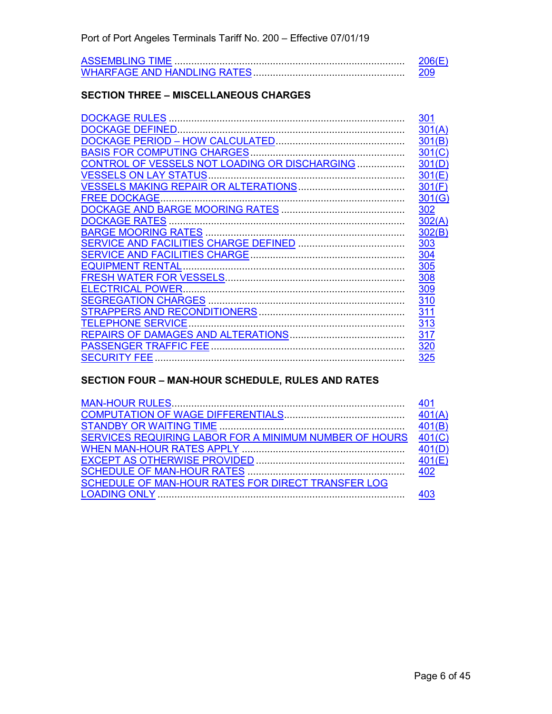### **SECTION THREE – MISCELLANEOUS CHARGES**

| <b>DOCKAGE RULES </b>                         | <u>301</u> |
|-----------------------------------------------|------------|
|                                               | 301(A)     |
|                                               | 301(B)     |
| <b>BASIS FOR COMPUTING CHARGES.</b>           | 301(C)     |
| CONTROL OF VESSELS NOT LOADING OR DISCHARGING | 301(D)     |
|                                               | 301(E)     |
|                                               | 301(F)     |
| <b>FREE DOCKAGE</b>                           | 301(G)     |
|                                               | 302        |
| <b>DOCKAGE RATES</b>                          | 302(A)     |
|                                               | 302(B)     |
|                                               | 303        |
|                                               | 304        |
|                                               | <u>305</u> |
|                                               | 308        |
| <b>ELECTRICAL POWER</b>                       | 309        |
|                                               | 310        |
|                                               | <u>311</u> |
| <b>TELEPHONE SERVICE</b>                      | 313        |
|                                               | 317        |
| PASSENGER TRAFFIC FEE                         | 320        |
| <b>SECURITY FEE</b>                           | 325        |

# **SECTION FOUR – MAN-HOUR SCHEDULE, RULES AND RATES**

| SERVICES REQUIRING LABOR FOR A MINIMUM NUMBER OF HOURS | 401(C) |
|--------------------------------------------------------|--------|
|                                                        | 401(D) |
|                                                        |        |
|                                                        |        |
| SCHEDULE OF MAN-HOUR RATES FOR DIRECT TRANSFER LOG     |        |
|                                                        |        |
|                                                        |        |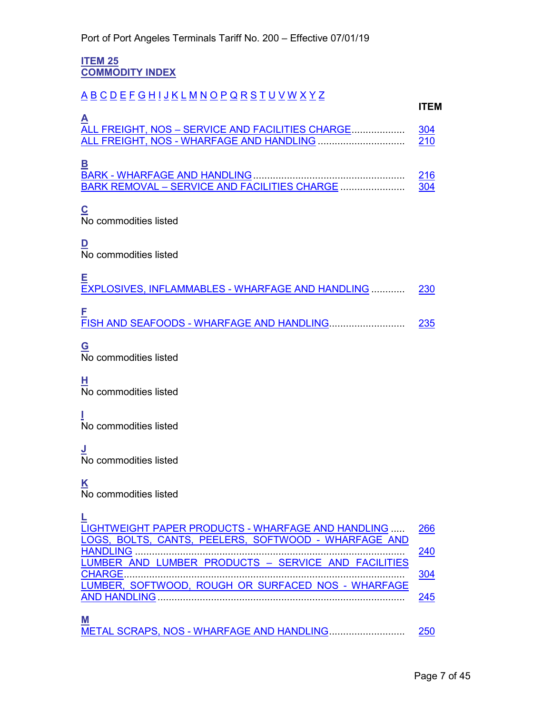#### <span id="page-6-1"></span><span id="page-6-0"></span>**ITEM 25 COMMODITY INDEX**

# <span id="page-6-6"></span><span id="page-6-5"></span><span id="page-6-4"></span><span id="page-6-3"></span><span id="page-6-2"></span>[A](#page-6-2) [B](#page-6-3) [C](#page-6-4) [D](#page-6-5) [E](#page-6-6) [F](#page-6-7) [G](#page-6-8) [H](#page-6-9) [I](#page-6-10) [J](#page-6-11) [K](#page-6-12) [L](#page-6-13) [M](#page-6-14) [N](#page-7-0) [O](#page-7-1) [P](#page-7-2) [Q](#page-7-3) [R](#page-7-4) [S](#page-7-5) [T](#page-7-6) [U](#page-7-7) [V](#page-7-8) [W](#page-7-9) [X](#page-7-10) [Y](#page-7-11) [Z](#page-7-12) **ITEM A** ALL FREIGHT, NOS – [SERVICE AND FACILITIES CHARGE.](#page-37-0).................. [304](#page-37-1) ALL FREIGHT, NOS - [WHARFAGE AND HANDLING](#page-31-0) .................................. **B** BARK - [WHARFAGE AND HANDLING.](#page-31-1)..................................................... [216](#page-31-2) BARK REMOVAL – [SERVICE AND FACILITIES CHARGE](#page-37-2) ....................... [304](#page-37-1) **C** No commodities listed **D** No commodities listed **E** [EXPLOSIVES, INFLAMMABLES](#page-31-3) - WHARFAGE AND HANDLING ............ [230](#page-31-4) **F** FISH AND SEAFOODS - [WHARFAGE AND HANDLING.](#page-31-5).......................... [235](#page-31-6) **G** No commodities listed **H** No commodities listed **I** No commodities listed **J** No commodities listed **K** No commodities listed **L**

<span id="page-6-14"></span><span id="page-6-13"></span><span id="page-6-12"></span><span id="page-6-11"></span><span id="page-6-10"></span><span id="page-6-9"></span><span id="page-6-8"></span><span id="page-6-7"></span>

| LIGHTWEIGHT PAPER PRODUCTS - WHARFAGE AND HANDLING  266 |     |
|---------------------------------------------------------|-----|
| LOGS, BOLTS, CANTS, PEELERS, SOFTWOOD - WHARFAGE AND    |     |
|                                                         | 240 |
| LUMBER AND LUMBER PRODUCTS - SERVICE AND FACILITIES     |     |
|                                                         | 304 |
| LUMBER, SOFTWOOD, ROUGH OR SURFACED NOS - WHARFAGE      |     |
|                                                         | 245 |
|                                                         |     |
| $\mathbf M$                                             |     |
| METAL SCRAPS, NOS - WHARFAGE AND HANDLING               | 250 |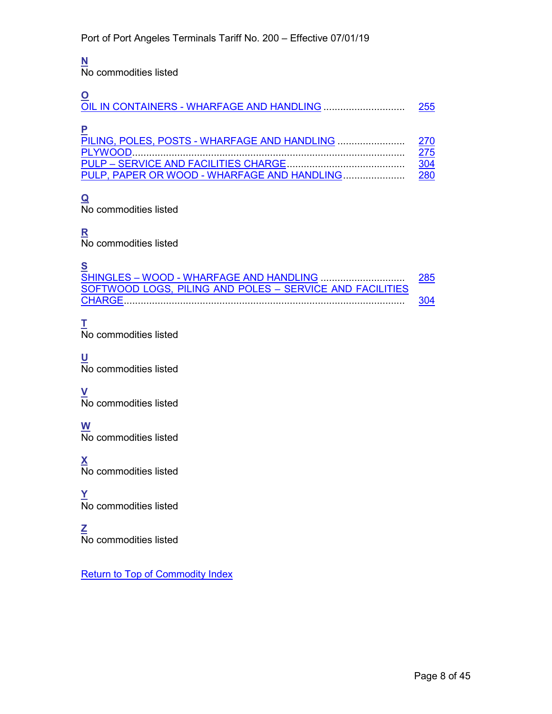# <span id="page-7-0"></span>**N**

No commodities listed

<span id="page-7-2"></span><span id="page-7-1"></span>

|                                             | 255         |
|---------------------------------------------|-------------|
|                                             | 270         |
|                                             | <u> 275</u> |
|                                             | <u>304</u>  |
| PULP, PAPER OR WOOD - WHARFAGE AND HANDLING | 280         |

# <span id="page-7-3"></span>**Q**

No commodities listed

# <span id="page-7-4"></span>**R**

No commodities listed

<span id="page-7-5"></span>

| $\mathbf S$                                              |     |
|----------------------------------------------------------|-----|
|                                                          | 285 |
| SOFTWOOD LOGS. PILING AND POLES - SERVICE AND FACILITIES |     |
|                                                          | 304 |
|                                                          |     |

# <span id="page-7-6"></span>**T**

No commodities listed

- <span id="page-7-7"></span>**U** No commodities listed
- <span id="page-7-8"></span>**V** No commodities listed

### <span id="page-7-9"></span>**W** No commodities listed

<span id="page-7-10"></span>**X** No commodities listed

<span id="page-7-11"></span>**Y** No commodities listed

<span id="page-7-12"></span>**Z** No commodities listed

[Return to Top of Commodity Index](#page-6-0)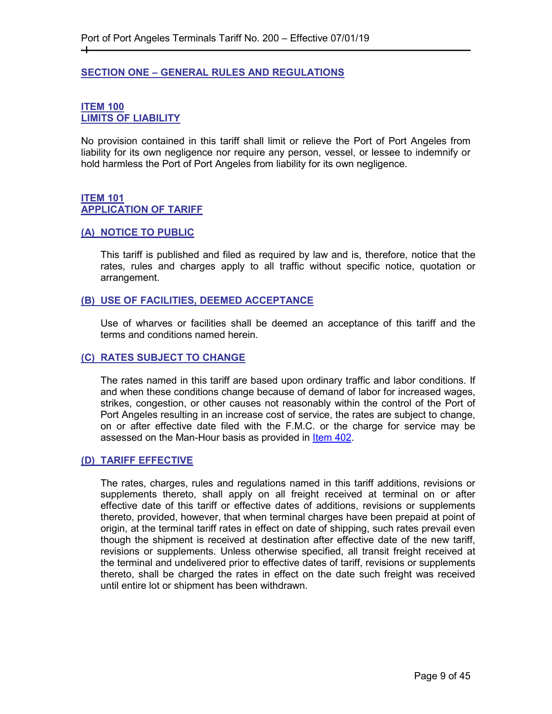#### <span id="page-8-0"></span>**SECTION ONE – GENERAL RULES AND REGULATIONS**

#### <span id="page-8-2"></span><span id="page-8-1"></span>**ITEM 100 LIMITS OF LIABILITY**

┿

No provision contained in this tariff shall limit or relieve the Port of Port Angeles from liability for its own negligence nor require any person, vessel, or lessee to indemnify or hold harmless the Port of Port Angeles from liability for its own negligence.

#### <span id="page-8-4"></span><span id="page-8-3"></span>**ITEM 101 APPLICATION OF TARIFF**

#### <span id="page-8-5"></span>**(A) NOTICE TO PUBLIC**

This tariff is published and filed as required by law and is, therefore, notice that the rates, rules and charges apply to all traffic without specific notice, quotation or arrangement.

#### <span id="page-8-6"></span>**(B) USE OF FACILITIES, DEEMED ACCEPTANCE**

Use of wharves or facilities shall be deemed an acceptance of this tariff and the terms and conditions named herein.

#### <span id="page-8-7"></span>**(C) RATES SUBJECT TO CHANGE**

The rates named in this tariff are based upon ordinary traffic and labor conditions. If and when these conditions change because of demand of labor for increased wages, strikes, congestion, or other causes not reasonably within the control of the Port of Port Angeles resulting in an increase cost of service, the rates are subject to change, on or after effective date filed with the F.M.C. or the charge for service may be assessed on the Man-Hour basis as provided in [Item 402.](#page-43-2)

#### <span id="page-8-8"></span>**(D) TARIFF EFFECTIVE**

The rates, charges, rules and regulations named in this tariff additions, revisions or supplements thereto, shall apply on all freight received at terminal on or after effective date of this tariff or effective dates of additions, revisions or supplements thereto, provided, however, that when terminal charges have been prepaid at point of origin, at the terminal tariff rates in effect on date of shipping, such rates prevail even though the shipment is received at destination after effective date of the new tariff, revisions or supplements. Unless otherwise specified, all transit freight received at the terminal and undelivered prior to effective dates of tariff, revisions or supplements thereto, shall be charged the rates in effect on the date such freight was received until entire lot or shipment has been withdrawn.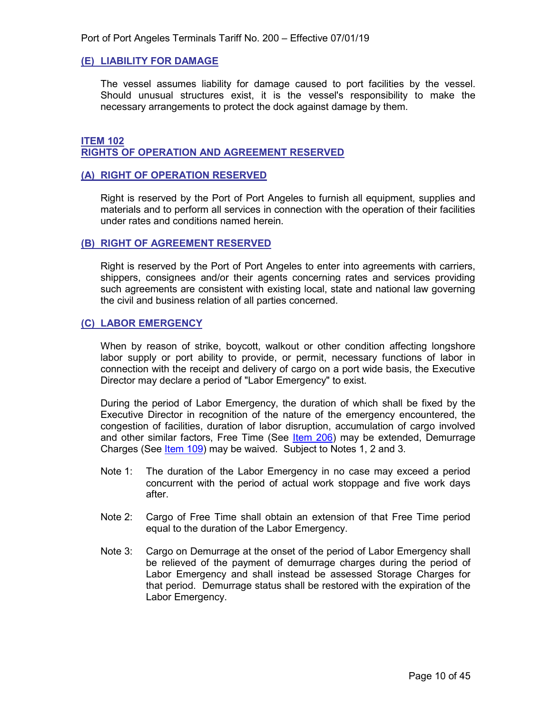#### <span id="page-9-0"></span>**(E) LIABILITY FOR DAMAGE**

The vessel assumes liability for damage caused to port facilities by the vessel. Should unusual structures exist, it is the vessel's responsibility to make the necessary arrangements to protect the dock against damage by them.

#### <span id="page-9-2"></span><span id="page-9-1"></span>**ITEM 102 RIGHTS OF OPERATION AND AGREEMENT RESERVED**

#### <span id="page-9-3"></span>**(A) RIGHT OF OPERATION RESERVED**

Right is reserved by the Port of Port Angeles to furnish all equipment, supplies and materials and to perform all services in connection with the operation of their facilities under rates and conditions named herein.

#### <span id="page-9-4"></span>**(B) RIGHT OF AGREEMENT RESERVED**

Right is reserved by the Port of Port Angeles to enter into agreements with carriers, shippers, consignees and/or their agents concerning rates and services providing such agreements are consistent with existing local, state and national law governing the civil and business relation of all parties concerned.

#### <span id="page-9-5"></span>**(C) LABOR EMERGENCY**

When by reason of strike, boycott, walkout or other condition affecting longshore labor supply or port ability to provide, or permit, necessary functions of labor in connection with the receipt and delivery of cargo on a port wide basis, the Executive Director may declare a period of "Labor Emergency" to exist.

During the period of Labor Emergency, the duration of which shall be fixed by the Executive Director in recognition of the nature of the emergency encountered, the congestion of facilities, duration of labor disruption, accumulation of cargo involved and other similar factors, Free Time (See [Item 206\)](#page-29-2) may be extended, Demurrage Charges (See [Item 109\)](#page-17-1) may be waived. Subject to Notes 1, 2 and 3.

- Note 1: The duration of the Labor Emergency in no case may exceed a period concurrent with the period of actual work stoppage and five work days after.
- Note 2: Cargo of Free Time shall obtain an extension of that Free Time period equal to the duration of the Labor Emergency.
- Note 3: Cargo on Demurrage at the onset of the period of Labor Emergency shall be relieved of the payment of demurrage charges during the period of Labor Emergency and shall instead be assessed Storage Charges for that period. Demurrage status shall be restored with the expiration of the Labor Emergency.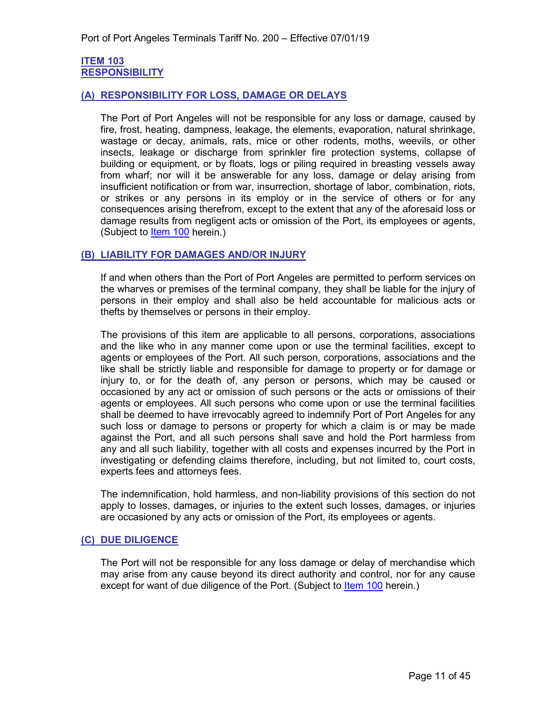#### <span id="page-10-1"></span><span id="page-10-0"></span>**ITEM 103 RESPONSIBILITY**

#### <span id="page-10-2"></span>**(A) RESPONSIBILITY FOR LOSS, DAMAGE OR DELAYS**

The Port of Port Angeles will not be responsible for any loss or damage, caused by fire, frost, heating, dampness, leakage, the elements, evaporation, natural shrinkage, wastage or decay, animals, rats, mice or other rodents, moths, weevils, or other insects, leakage or discharge from sprinkler fire protection systems, collapse of building or equipment, or by floats, logs or piling required in breasting vessels away from wharf; nor will it be answerable for any loss, damage or delay arising from insufficient notification or from war, insurrection, shortage of labor, combination, riots, or strikes or any persons in its employ or in the service of others or for any consequences arising therefrom, except to the extent that any of the aforesaid loss or damage results from negligent acts or omission of the Port, its employees or agents, (Subject to [Item 100](#page-17-5) herein.)

#### <span id="page-10-3"></span>**(B) LIABILITY FOR DAMAGES AND/OR INJURY**

If and when others than the Port of Port Angeles are permitted to perform services on the wharves or premises of the terminal company, they shall be liable for the injury of persons in their employ and shall also be held accountable for malicious acts or thefts by themselves or persons in their employ.

The provisions of this item are applicable to all persons, corporations, associations and the like who in any manner come upon or use the terminal facilities, except to agents or employees of the Port. All such person, corporations, associations and the like shall be strictly liable and responsible for damage to property or for damage or injury to, or for the death of, any person or persons, which may be caused or occasioned by any act or omission of such persons or the acts or omissions of their agents or employees. All such persons who come upon or use the terminal facilities shall be deemed to have irrevocably agreed to indemnify Port of Port Angeles for any such loss or damage to persons or property for which a claim is or may be made against the Port, and all such persons shall save and hold the Port harmless from any and all such liability, together with all costs and expenses incurred by the Port in investigating or defending claims therefore, including, but not limited to, court costs, experts fees and attorneys fees.

The indemnification, hold harmless, and non-liability provisions of this section do not apply to losses, damages, or injuries to the extent such losses, damages, or injuries are occasioned by any acts or omission of the Port, its employees or agents.

#### <span id="page-10-4"></span>**(C) DUE DILIGENCE**

The Port will not be responsible for any loss damage or delay of merchandise which may arise from any cause beyond its direct authority and control, nor for any cause except for want of due diligence of the Port. (Subject to [Item 100](#page-8-2) herein.)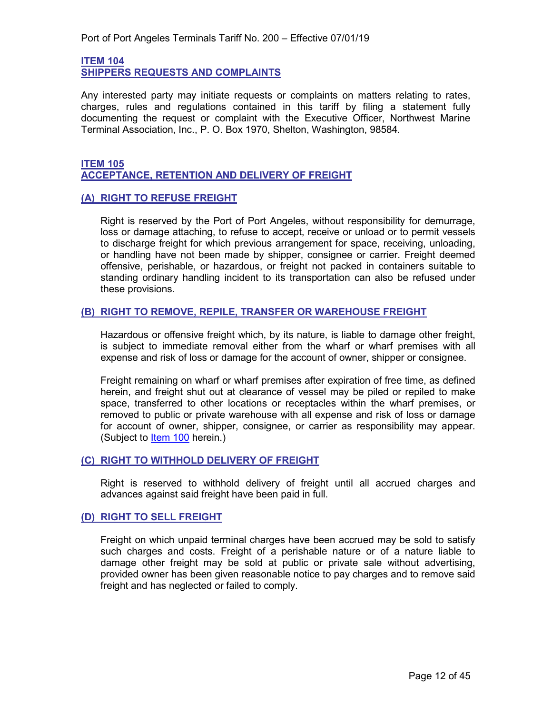<span id="page-11-1"></span><span id="page-11-0"></span>**ITEM 104 SHIPPERS REQUESTS AND COMPLAINTS**

Any interested party may initiate requests or complaints on matters relating to rates, charges, rules and regulations contained in this tariff by filing a statement fully documenting the request or complaint with the Executive Officer, Northwest Marine Terminal Association, Inc., P. O. Box 1970, Shelton, Washington, 98584.

#### <span id="page-11-3"></span><span id="page-11-2"></span>**ITEM 105 ACCEPTANCE, RETENTION AND DELIVERY OF FREIGHT**

#### <span id="page-11-4"></span>**(A) RIGHT TO REFUSE FREIGHT**

Right is reserved by the Port of Port Angeles, without responsibility for demurrage, loss or damage attaching, to refuse to accept, receive or unload or to permit vessels to discharge freight for which previous arrangement for space, receiving, unloading, or handling have not been made by shipper, consignee or carrier. Freight deemed offensive, perishable, or hazardous, or freight not packed in containers suitable to standing ordinary handling incident to its transportation can also be refused under these provisions.

#### <span id="page-11-5"></span>**(B) RIGHT TO REMOVE, REPILE, TRANSFER OR WAREHOUSE FREIGHT**

Hazardous or offensive freight which, by its nature, is liable to damage other freight, is subject to immediate removal either from the wharf or wharf premises with all expense and risk of loss or damage for the account of owner, shipper or consignee.

Freight remaining on wharf or wharf premises after expiration of free time, as defined herein, and freight shut out at clearance of vessel may be piled or repiled to make space, transferred to other locations or receptacles within the wharf premises, or removed to public or private warehouse with all expense and risk of loss or damage for account of owner, shipper, consignee, or carrier as responsibility may appear. (Subject to [Item](#page-8-2) 100 herein.)

#### <span id="page-11-6"></span>**(C) RIGHT TO WITHHOLD DELIVERY OF FREIGHT**

Right is reserved to withhold delivery of freight until all accrued charges and advances against said freight have been paid in full.

#### <span id="page-11-7"></span>**(D) RIGHT TO SELL FREIGHT**

Freight on which unpaid terminal charges have been accrued may be sold to satisfy such charges and costs. Freight of a perishable nature or of a nature liable to damage other freight may be sold at public or private sale without advertising, provided owner has been given reasonable notice to pay charges and to remove said freight and has neglected or failed to comply.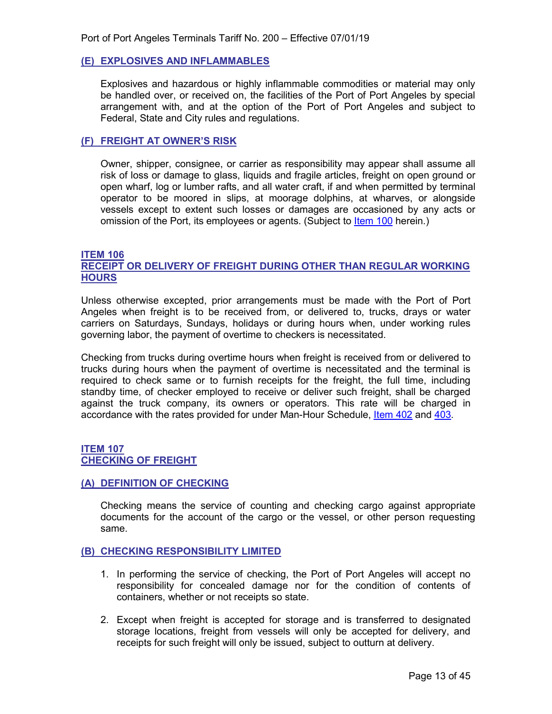#### <span id="page-12-0"></span>**(E) EXPLOSIVES AND INFLAMMABLES**

Explosives and hazardous or highly inflammable commodities or material may only be handled over, or received on, the facilities of the Port of Port Angeles by special arrangement with, and at the option of the Port of Port Angeles and subject to Federal, State and City rules and regulations.

#### <span id="page-12-1"></span>**(F) FREIGHT AT OWNER'S RISK**

Owner, shipper, consignee, or carrier as responsibility may appear shall assume all risk of loss or damage to glass, liquids and fragile articles, freight on open ground or open wharf, log or lumber rafts, and all water craft, if and when permitted by terminal operator to be moored in slips, at moorage dolphins, at wharves, or alongside vessels except to extent such losses or damages are occasioned by any acts or omission of the Port, its employees or agents. (Subject to [Item 100](#page-17-5) herein.)

#### <span id="page-12-3"></span><span id="page-12-2"></span>**ITEM 106 RECEIPT OR DELIVERY OF FREIGHT DURING OTHER THAN REGULAR WORKING HOURS**

Unless otherwise excepted, prior arrangements must be made with the Port of Port Angeles when freight is to be received from, or delivered to, trucks, drays or water carriers on Saturdays, Sundays, holidays or during hours when, under working rules governing labor, the payment of overtime to checkers is necessitated.

Checking from trucks during overtime hours when freight is received from or delivered to trucks during hours when the payment of overtime is necessitated and the terminal is required to check same or to furnish receipts for the freight, the full time, including standby time, of checker employed to receive or deliver such freight, shall be charged against the truck company, its owners or operators. This rate will be charged in accordance with the rates provided for under Man-Hour Schedule, [Item 402](#page-43-2) and [403.](#page-44-1)

#### <span id="page-12-5"></span><span id="page-12-4"></span>**ITEM 107 CHECKING OF FREIGHT**

#### <span id="page-12-6"></span>**(A) DEFINITION OF CHECKING**

Checking means the service of counting and checking cargo against appropriate documents for the account of the cargo or the vessel, or other person requesting same.

#### <span id="page-12-7"></span>**(B) CHECKING RESPONSIBILITY LIMITED**

- 1. In performing the service of checking, the Port of Port Angeles will accept no responsibility for concealed damage nor for the condition of contents of containers, whether or not receipts so state.
- 2. Except when freight is accepted for storage and is transferred to designated storage locations, freight from vessels will only be accepted for delivery, and receipts for such freight will only be issued, subject to outturn at delivery.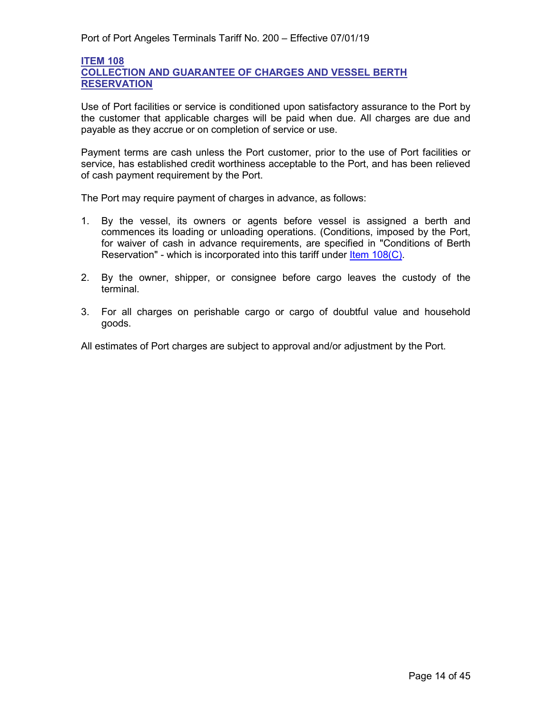#### <span id="page-13-2"></span><span id="page-13-1"></span>**ITEM 108 COLLECTION AND GUARANTEE OF CHARGES AND VESSEL BERTH RESERVATION**

Use of Port facilities or service is conditioned upon satisfactory assurance to the Port by the customer that applicable charges will be paid when due. All charges are due and payable as they accrue or on completion of service or use.

Payment terms are cash unless the Port customer, prior to the use of Port facilities or service, has established credit worthiness acceptable to the Port, and has been relieved of cash payment requirement by the Port.

The Port may require payment of charges in advance, as follows:

- 1. By the vessel, its owners or agents before vessel is assigned a berth and commences its loading or unloading operations. (Conditions, imposed by the Port, for waiver of cash in advance requirements, are specified in "Conditions of Berth Reservation" - which is incorporated into this tariff under [Item 108\(C\).](#page-16-0)
- 2. By the owner, shipper, or consignee before cargo leaves the custody of the terminal.
- 3. For all charges on perishable cargo or cargo of doubtful value and household goods.

<span id="page-13-0"></span>All estimates of Port charges are subject to approval and/or adjustment by the Port.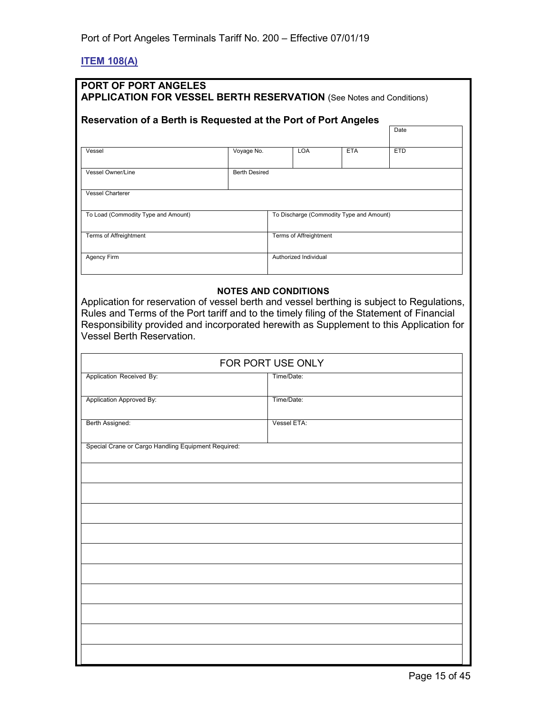# <span id="page-14-0"></span>**ITEM 108(A)**

| <b>PORT OF PORT ANGELES</b><br><b>APPLICATION FOR VESSEL BERTH RESERVATION</b> (See Notes and Conditions)<br>Reservation of a Berth is Requested at the Port of Port Angeles                                                                                                                                           |                      |             |                               |                                          |            |
|------------------------------------------------------------------------------------------------------------------------------------------------------------------------------------------------------------------------------------------------------------------------------------------------------------------------|----------------------|-------------|-------------------------------|------------------------------------------|------------|
|                                                                                                                                                                                                                                                                                                                        |                      |             |                               |                                          | Date       |
| Vessel                                                                                                                                                                                                                                                                                                                 | Voyage No.           |             | <b>LOA</b>                    | <b>ETA</b>                               | <b>ETD</b> |
| <b>Vessel Owner/Line</b>                                                                                                                                                                                                                                                                                               | <b>Berth Desired</b> |             |                               |                                          |            |
| <b>Vessel Charterer</b>                                                                                                                                                                                                                                                                                                |                      |             |                               |                                          |            |
| To Load (Commodity Type and Amount)                                                                                                                                                                                                                                                                                    |                      |             |                               | To Discharge (Commodity Type and Amount) |            |
| <b>Terms of Affreightment</b>                                                                                                                                                                                                                                                                                          |                      |             | <b>Terms of Affreightment</b> |                                          |            |
| Agency Firm                                                                                                                                                                                                                                                                                                            |                      |             | Authorized Individual         |                                          |            |
| Application for reservation of vessel berth and vessel berthing is subject to Regulations,<br>Rules and Terms of the Port tariff and to the timely filing of the Statement of Financial<br>Responsibility provided and incorporated herewith as Supplement to this Application for<br><b>Vessel Berth Reservation.</b> | FOR PORT USE ONLY    |             |                               |                                          |            |
| Application Received By:                                                                                                                                                                                                                                                                                               |                      | Time/Date:  |                               |                                          |            |
| Application Approved By:                                                                                                                                                                                                                                                                                               |                      | Time/Date:  |                               |                                          |            |
| Berth Assigned:                                                                                                                                                                                                                                                                                                        |                      | Vessel ETA: |                               |                                          |            |
| Special Crane or Cargo Handling Equipment Required:                                                                                                                                                                                                                                                                    |                      |             |                               |                                          |            |
|                                                                                                                                                                                                                                                                                                                        |                      |             |                               |                                          |            |
|                                                                                                                                                                                                                                                                                                                        |                      |             |                               |                                          |            |
|                                                                                                                                                                                                                                                                                                                        |                      |             |                               |                                          |            |
|                                                                                                                                                                                                                                                                                                                        |                      |             |                               |                                          |            |
|                                                                                                                                                                                                                                                                                                                        |                      |             |                               |                                          |            |
|                                                                                                                                                                                                                                                                                                                        |                      |             |                               |                                          |            |
|                                                                                                                                                                                                                                                                                                                        |                      |             |                               |                                          |            |
|                                                                                                                                                                                                                                                                                                                        |                      |             |                               |                                          |            |
|                                                                                                                                                                                                                                                                                                                        |                      |             |                               |                                          |            |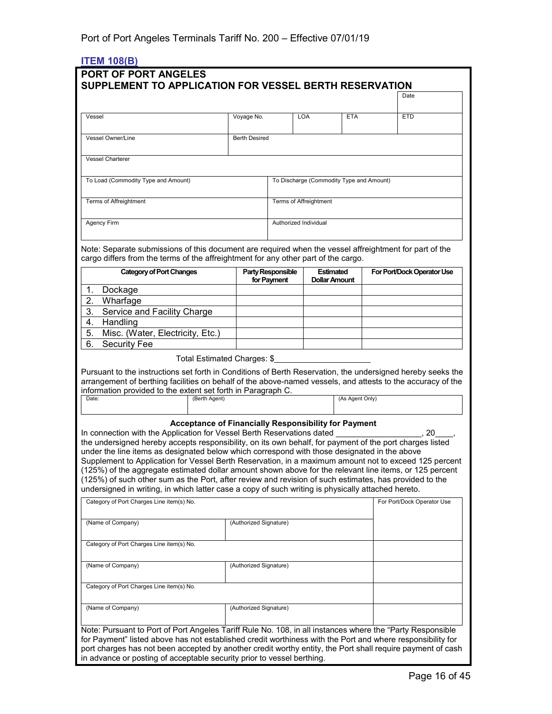# <span id="page-15-0"></span>**ITEM 108(B)**

|                                                                                                                                                                                                                                                                                                                                                                                                                                                                                                                                                                                                                                                                                                                                                                                |                        |                       |            |                               |                 |                                          | Date                       |  |
|--------------------------------------------------------------------------------------------------------------------------------------------------------------------------------------------------------------------------------------------------------------------------------------------------------------------------------------------------------------------------------------------------------------------------------------------------------------------------------------------------------------------------------------------------------------------------------------------------------------------------------------------------------------------------------------------------------------------------------------------------------------------------------|------------------------|-----------------------|------------|-------------------------------|-----------------|------------------------------------------|----------------------------|--|
| Vessel                                                                                                                                                                                                                                                                                                                                                                                                                                                                                                                                                                                                                                                                                                                                                                         | Voyage No.             |                       | <b>LOA</b> |                               | <b>ETA</b>      |                                          | <b>ETD</b>                 |  |
| <b>Vessel Owner/Line</b>                                                                                                                                                                                                                                                                                                                                                                                                                                                                                                                                                                                                                                                                                                                                                       | <b>Berth Desired</b>   |                       |            |                               |                 |                                          |                            |  |
| <b>Vessel Charterer</b>                                                                                                                                                                                                                                                                                                                                                                                                                                                                                                                                                                                                                                                                                                                                                        |                        |                       |            |                               |                 |                                          |                            |  |
|                                                                                                                                                                                                                                                                                                                                                                                                                                                                                                                                                                                                                                                                                                                                                                                |                        |                       |            |                               |                 |                                          |                            |  |
| To Load (Commodity Type and Amount)                                                                                                                                                                                                                                                                                                                                                                                                                                                                                                                                                                                                                                                                                                                                            |                        |                       |            |                               |                 | To Discharge (Commodity Type and Amount) |                            |  |
| <b>Terms of Affreightment</b>                                                                                                                                                                                                                                                                                                                                                                                                                                                                                                                                                                                                                                                                                                                                                  |                        |                       |            | <b>Terms of Affreightment</b> |                 |                                          |                            |  |
| Agency Firm                                                                                                                                                                                                                                                                                                                                                                                                                                                                                                                                                                                                                                                                                                                                                                    |                        | Authorized Individual |            |                               |                 |                                          |                            |  |
| Note: Separate submissions of this document are required when the vessel affreightment for part of the<br>cargo differs from the terms of the affreightment for any other part of the cargo.<br><b>Category of Port Changes</b>                                                                                                                                                                                                                                                                                                                                                                                                                                                                                                                                                |                        | Party Responsible     |            | <b>Estimated</b>              |                 |                                          | For Port/Dock Operator Use |  |
|                                                                                                                                                                                                                                                                                                                                                                                                                                                                                                                                                                                                                                                                                                                                                                                |                        | for Payment           |            | <b>Dollar Amount</b>          |                 |                                          |                            |  |
| 1.<br>Dockage                                                                                                                                                                                                                                                                                                                                                                                                                                                                                                                                                                                                                                                                                                                                                                  |                        |                       |            |                               |                 |                                          |                            |  |
| Wharfage<br>2.<br>3.<br>Service and Facility Charge                                                                                                                                                                                                                                                                                                                                                                                                                                                                                                                                                                                                                                                                                                                            |                        |                       |            |                               |                 |                                          |                            |  |
| Handling<br>4.                                                                                                                                                                                                                                                                                                                                                                                                                                                                                                                                                                                                                                                                                                                                                                 |                        |                       |            |                               |                 |                                          |                            |  |
| 5.<br>Misc. (Water, Electricity, Etc.)                                                                                                                                                                                                                                                                                                                                                                                                                                                                                                                                                                                                                                                                                                                                         |                        |                       |            |                               |                 |                                          |                            |  |
| 6.<br><b>Security Fee</b>                                                                                                                                                                                                                                                                                                                                                                                                                                                                                                                                                                                                                                                                                                                                                      |                        |                       |            |                               |                 |                                          |                            |  |
| Total Estimated Charges: \$                                                                                                                                                                                                                                                                                                                                                                                                                                                                                                                                                                                                                                                                                                                                                    |                        |                       |            |                               |                 |                                          |                            |  |
| arrangement of berthing facilities on behalf of the above-named vessels, and attests to the accuracy of the<br>information provided to the extent set forth in Paragraph C.<br>Date:<br>(Berth Agent)                                                                                                                                                                                                                                                                                                                                                                                                                                                                                                                                                                          |                        |                       |            |                               | (As Agent Only) |                                          |                            |  |
| Acceptance of Financially Responsibility for Payment<br>In connection with the Application for Vessel Berth Reservations dated<br>the undersigned hereby accepts responsibility, on its own behalf, for payment of the port charges listed<br>under the line items as designated below which correspond with those designated in the above<br>Supplement to Application for Vessel Berth Reservation, in a maximum amount not to exceed 125 percent<br>(125%) of the aggregate estimated dollar amount shown above for the relevant line items, or 125 percent<br>(125%) of such other sum as the Port, after review and revision of such estimates, has provided to the<br>undersigned in writing, in which latter case a copy of such writing is physically attached hereto. |                        |                       |            |                               |                 |                                          | 20                         |  |
| Category of Port Charges Line item(s) No.                                                                                                                                                                                                                                                                                                                                                                                                                                                                                                                                                                                                                                                                                                                                      |                        |                       |            |                               |                 |                                          | For Port/Dock Operator Use |  |
| (Name of Company)                                                                                                                                                                                                                                                                                                                                                                                                                                                                                                                                                                                                                                                                                                                                                              | (Authorized Signature) |                       |            |                               |                 |                                          |                            |  |
| Category of Port Charges Line item(s) No.                                                                                                                                                                                                                                                                                                                                                                                                                                                                                                                                                                                                                                                                                                                                      |                        |                       |            |                               |                 |                                          |                            |  |
| (Name of Company)                                                                                                                                                                                                                                                                                                                                                                                                                                                                                                                                                                                                                                                                                                                                                              | (Authorized Signature) |                       |            |                               |                 |                                          |                            |  |
| Category of Port Charges Line item(s) No.                                                                                                                                                                                                                                                                                                                                                                                                                                                                                                                                                                                                                                                                                                                                      |                        |                       |            |                               |                 |                                          |                            |  |
| (Name of Company)                                                                                                                                                                                                                                                                                                                                                                                                                                                                                                                                                                                                                                                                                                                                                              | (Authorized Signature) |                       |            |                               |                 |                                          |                            |  |
| Note: Pursuant to Port of Port Angeles Tariff Rule No. 108, in all instances where the "Party Responsible<br>for Payment" listed above has not established credit worthiness with the Port and where responsibility for<br>port charges has not been accepted by another credit worthy entity, the Port shall require payment of cash                                                                                                                                                                                                                                                                                                                                                                                                                                          |                        |                       |            |                               |                 |                                          |                            |  |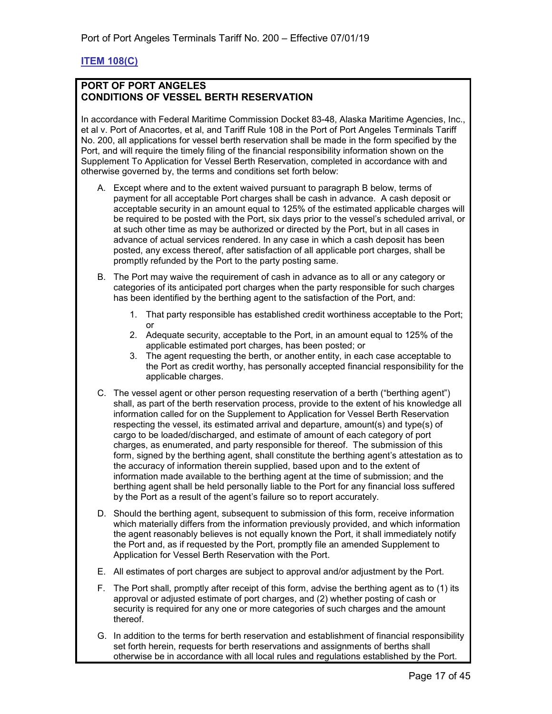# <span id="page-16-0"></span>**ITEM 108(C)**

#### **PORT OF PORT ANGELES CONDITIONS OF VESSEL BERTH RESERVATION**

In accordance with Federal Maritime Commission Docket 83-48, Alaska Maritime Agencies, Inc., et al v. Port of Anacortes, et al, and Tariff Rule 108 in the Port of Port Angeles Terminals Tariff No. 200, all applications for vessel berth reservation shall be made in the form specified by the Port, and will require the timely filing of the financial responsibility information shown on the Supplement To Application for Vessel Berth Reservation, completed in accordance with and otherwise governed by, the terms and conditions set forth below:

- A. Except where and to the extent waived pursuant to paragraph B below, terms of payment for all acceptable Port charges shall be cash in advance. A cash deposit or acceptable security in an amount equal to 125% of the estimated applicable charges will be required to be posted with the Port, six days prior to the vessel's scheduled arrival, or at such other time as may be authorized or directed by the Port, but in all cases in advance of actual services rendered. In any case in which a cash deposit has been posted, any excess thereof, after satisfaction of all applicable port charges, shall be promptly refunded by the Port to the party posting same.
- B. The Port may waive the requirement of cash in advance as to all or any category or categories of its anticipated port charges when the party responsible for such charges has been identified by the berthing agent to the satisfaction of the Port, and:
	- 1. That party responsible has established credit worthiness acceptable to the Port; or
	- 2. Adequate security, acceptable to the Port, in an amount equal to 125% of the applicable estimated port charges, has been posted; or
	- 3. The agent requesting the berth, or another entity, in each case acceptable to the Port as credit worthy, has personally accepted financial responsibility for the applicable charges.
- C. The vessel agent or other person requesting reservation of a berth ("berthing agent") shall, as part of the berth reservation process, provide to the extent of his knowledge all information called for on the Supplement to Application for Vessel Berth Reservation respecting the vessel, its estimated arrival and departure, amount(s) and type(s) of cargo to be loaded/discharged, and estimate of amount of each category of port charges, as enumerated, and party responsible for thereof. The submission of this form, signed by the berthing agent, shall constitute the berthing agent's attestation as to the accuracy of information therein supplied, based upon and to the extent of information made available to the berthing agent at the time of submission; and the berthing agent shall be held personally liable to the Port for any financial loss suffered by the Port as a result of the agent's failure so to report accurately.
- D. Should the berthing agent, subsequent to submission of this form, receive information which materially differs from the information previously provided, and which information the agent reasonably believes is not equally known the Port, it shall immediately notify the Port and, as if requested by the Port, promptly file an amended Supplement to Application for Vessel Berth Reservation with the Port.
- E. All estimates of port charges are subject to approval and/or adjustment by the Port.
- F. The Port shall, promptly after receipt of this form, advise the berthing agent as to (1) its approval or adjusted estimate of port charges, and (2) whether posting of cash or security is required for any one or more categories of such charges and the amount thereof.
- G. In addition to the terms for berth reservation and establishment of financial responsibility set forth herein, requests for berth reservations and assignments of berths shall otherwise be in accordance with all local rules and regulations established by the Port.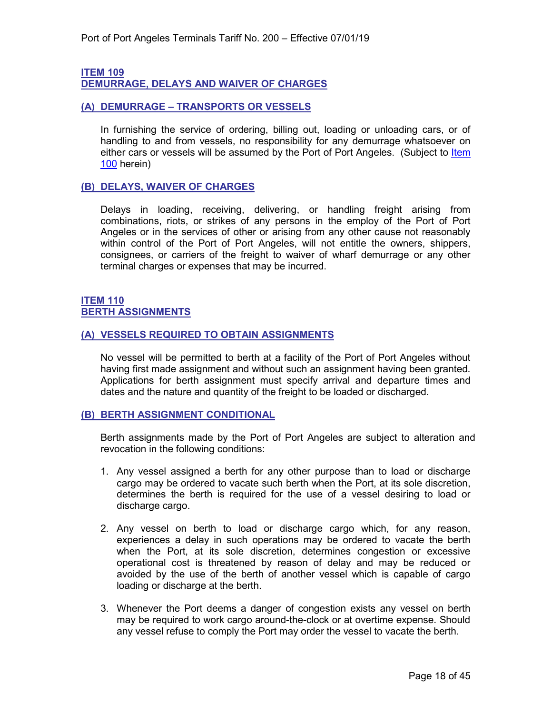# <span id="page-17-1"></span>**ITEM 109**

<span id="page-17-0"></span>**DEMURRAGE, DELAYS AND WAIVER OF CHARGES**

#### <span id="page-17-2"></span>**(A) DEMURRAGE – TRANSPORTS OR VESSELS**

In furnishing the service of ordering, billing out, loading or unloading cars, or of handling to and from vessels, no responsibility for any demurrage whatsoever on either cars or vessels will be assumed by the Port of Port Angeles. (Subject to Item [100](#page-8-2) herein)

#### <span id="page-17-3"></span>**(B) DELAYS, WAIVER OF CHARGES**

Delays in loading, receiving, delivering, or handling freight arising from combinations, riots, or strikes of any persons in the employ of the Port of Port Angeles or in the services of other or arising from any other cause not reasonably within control of the Port of Port Angeles, will not entitle the owners, shippers, consignees, or carriers of the freight to waiver of wharf demurrage or any other terminal charges or expenses that may be incurred.

#### <span id="page-17-5"></span><span id="page-17-4"></span>**ITEM 110 BERTH ASSIGNMENTS**

#### <span id="page-17-6"></span>**(A) VESSELS REQUIRED TO OBTAIN ASSIGNMENTS**

No vessel will be permitted to berth at a facility of the Port of Port Angeles without having first made assignment and without such an assignment having been granted. Applications for berth assignment must specify arrival and departure times and dates and the nature and quantity of the freight to be loaded or discharged.

#### <span id="page-17-7"></span>**(B) BERTH ASSIGNMENT CONDITIONAL**

Berth assignments made by the Port of Port Angeles are subject to alteration and revocation in the following conditions:

- 1. Any vessel assigned a berth for any other purpose than to load or discharge cargo may be ordered to vacate such berth when the Port, at its sole discretion, determines the berth is required for the use of a vessel desiring to load or discharge cargo.
- 2. Any vessel on berth to load or discharge cargo which, for any reason, experiences a delay in such operations may be ordered to vacate the berth when the Port, at its sole discretion, determines congestion or excessive operational cost is threatened by reason of delay and may be reduced or avoided by the use of the berth of another vessel which is capable of cargo loading or discharge at the berth.
- 3. Whenever the Port deems a danger of congestion exists any vessel on berth may be required to work cargo around-the-clock or at overtime expense. Should any vessel refuse to comply the Port may order the vessel to vacate the berth.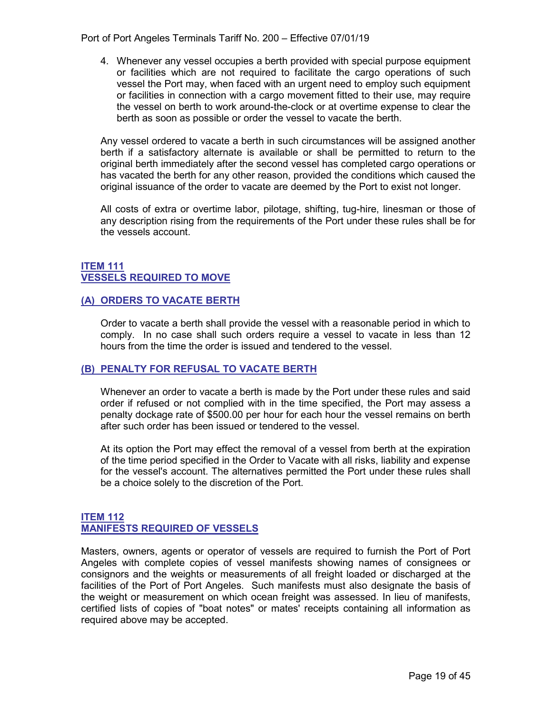Port of Port Angeles Terminals Tariff No. 200 – Effective 07/01/19

4. Whenever any vessel occupies a berth provided with special purpose equipment or facilities which are not required to facilitate the cargo operations of such vessel the Port may, when faced with an urgent need to employ such equipment or facilities in connection with a cargo movement fitted to their use, may require the vessel on berth to work around-the-clock or at overtime expense to clear the berth as soon as possible or order the vessel to vacate the berth.

Any vessel ordered to vacate a berth in such circumstances will be assigned another berth if a satisfactory alternate is available or shall be permitted to return to the original berth immediately after the second vessel has completed cargo operations or has vacated the berth for any other reason, provided the conditions which caused the original issuance of the order to vacate are deemed by the Port to exist not longer.

All costs of extra or overtime labor, pilotage, shifting, tug-hire, linesman or those of any description rising from the requirements of the Port under these rules shall be for the vessels account.

#### <span id="page-18-1"></span><span id="page-18-0"></span>**ITEM 111 VESSELS REQUIRED TO MOVE**

#### <span id="page-18-2"></span>**(A) ORDERS TO VACATE BERTH**

Order to vacate a berth shall provide the vessel with a reasonable period in which to comply. In no case shall such orders require a vessel to vacate in less than 12 hours from the time the order is issued and tendered to the vessel.

#### <span id="page-18-3"></span>**(B) PENALTY FOR REFUSAL TO VACATE BERTH**

Whenever an order to vacate a berth is made by the Port under these rules and said order if refused or not complied with in the time specified, the Port may assess a penalty dockage rate of \$500.00 per hour for each hour the vessel remains on berth after such order has been issued or tendered to the vessel.

At its option the Port may effect the removal of a vessel from berth at the expiration of the time period specified in the Order to Vacate with all risks, liability and expense for the vessel's account. The alternatives permitted the Port under these rules shall be a choice solely to the discretion of the Port.

#### <span id="page-18-5"></span><span id="page-18-4"></span>**ITEM 112 MANIFESTS REQUIRED OF VESSELS**

Masters, owners, agents or operator of vessels are required to furnish the Port of Port Angeles with complete copies of vessel manifests showing names of consignees or consignors and the weights or measurements of all freight loaded or discharged at the facilities of the Port of Port Angeles. Such manifests must also designate the basis of the weight or measurement on which ocean freight was assessed. In lieu of manifests, certified lists of copies of "boat notes" or mates' receipts containing all information as required above may be accepted.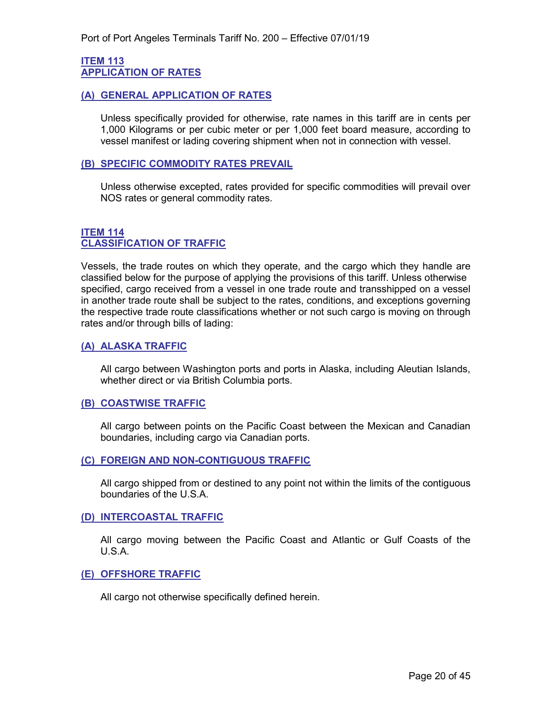#### <span id="page-19-1"></span><span id="page-19-0"></span>**ITEM 113 APPLICATION OF RATES**

#### <span id="page-19-2"></span>**(A) GENERAL APPLICATION OF RATES**

Unless specifically provided for otherwise, rate names in this tariff are in cents per 1,000 Kilograms or per cubic meter or per 1,000 feet board measure, according to vessel manifest or lading covering shipment when not in connection with vessel.

#### <span id="page-19-3"></span>**(B) SPECIFIC COMMODITY RATES PREVAIL**

Unless otherwise excepted, rates provided for specific commodities will prevail over NOS rates or general commodity rates.

#### <span id="page-19-5"></span><span id="page-19-4"></span>**ITEM 114 CLASSIFICATION OF TRAFFIC**

Vessels, the trade routes on which they operate, and the cargo which they handle are classified below for the purpose of applying the provisions of this tariff. Unless otherwise specified, cargo received from a vessel in one trade route and transshipped on a vessel in another trade route shall be subject to the rates, conditions, and exceptions governing the respective trade route classifications whether or not such cargo is moving on through rates and/or through bills of lading:

#### <span id="page-19-6"></span>**(A) ALASKA TRAFFIC**

All cargo between Washington ports and ports in Alaska, including Aleutian Islands, whether direct or via British Columbia ports.

#### <span id="page-19-7"></span>**(B) COASTWISE TRAFFIC**

All cargo between points on the Pacific Coast between the Mexican and Canadian boundaries, including cargo via Canadian ports.

#### <span id="page-19-8"></span>**(C) FOREIGN AND NON-CONTIGUOUS TRAFFIC**

All cargo shipped from or destined to any point not within the limits of the contiguous boundaries of the U.S.A.

#### <span id="page-19-9"></span>**(D) INTERCOASTAL TRAFFIC**

All cargo moving between the Pacific Coast and Atlantic or Gulf Coasts of the U.S.A.

#### <span id="page-19-10"></span>**(E) OFFSHORE TRAFFIC**

All cargo not otherwise specifically defined herein.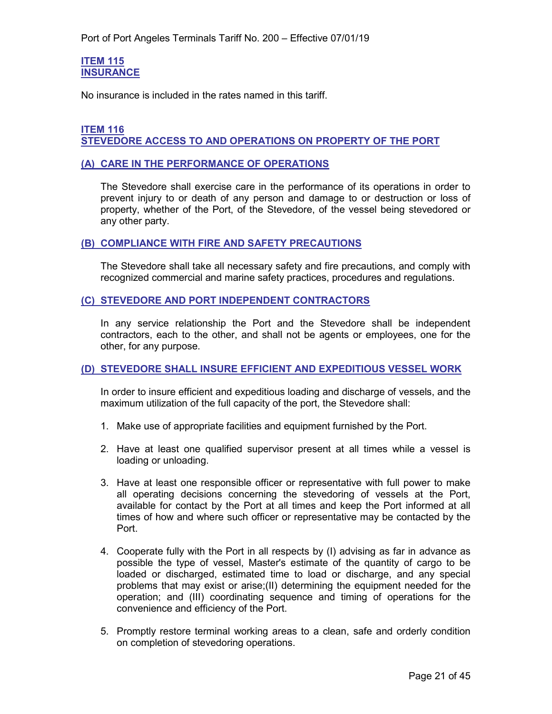#### <span id="page-20-1"></span><span id="page-20-0"></span>**ITEM 115 INSURANCE**

No insurance is included in the rates named in this tariff.

#### <span id="page-20-3"></span><span id="page-20-2"></span>**ITEM 116 STEVEDORE ACCESS TO AND OPERATIONS ON PROPERTY OF THE PORT**

#### <span id="page-20-4"></span>**(A) CARE IN THE PERFORMANCE OF OPERATIONS**

The Stevedore shall exercise care in the performance of its operations in order to prevent injury to or death of any person and damage to or destruction or loss of property, whether of the Port, of the Stevedore, of the vessel being stevedored or any other party.

#### <span id="page-20-5"></span>**(B) COMPLIANCE WITH FIRE AND SAFETY PRECAUTIONS**

The Stevedore shall take all necessary safety and fire precautions, and comply with recognized commercial and marine safety practices, procedures and regulations.

#### <span id="page-20-6"></span>**(C) STEVEDORE AND PORT INDEPENDENT CONTRACTORS**

In any service relationship the Port and the Stevedore shall be independent contractors, each to the other, and shall not be agents or employees, one for the other, for any purpose.

#### <span id="page-20-7"></span>**(D) STEVEDORE SHALL INSURE EFFICIENT AND EXPEDITIOUS VESSEL WORK**

In order to insure efficient and expeditious loading and discharge of vessels, and the maximum utilization of the full capacity of the port, the Stevedore shall:

- 1. Make use of appropriate facilities and equipment furnished by the Port.
- 2. Have at least one qualified supervisor present at all times while a vessel is loading or unloading.
- 3. Have at least one responsible officer or representative with full power to make all operating decisions concerning the stevedoring of vessels at the Port, available for contact by the Port at all times and keep the Port informed at all times of how and where such officer or representative may be contacted by the Port.
- 4. Cooperate fully with the Port in all respects by (I) advising as far in advance as possible the type of vessel, Master's estimate of the quantity of cargo to be loaded or discharged, estimated time to load or discharge, and any special problems that may exist or arise;(II) determining the equipment needed for the operation; and (III) coordinating sequence and timing of operations for the convenience and efficiency of the Port.
- 5. Promptly restore terminal working areas to a clean, safe and orderly condition on completion of stevedoring operations.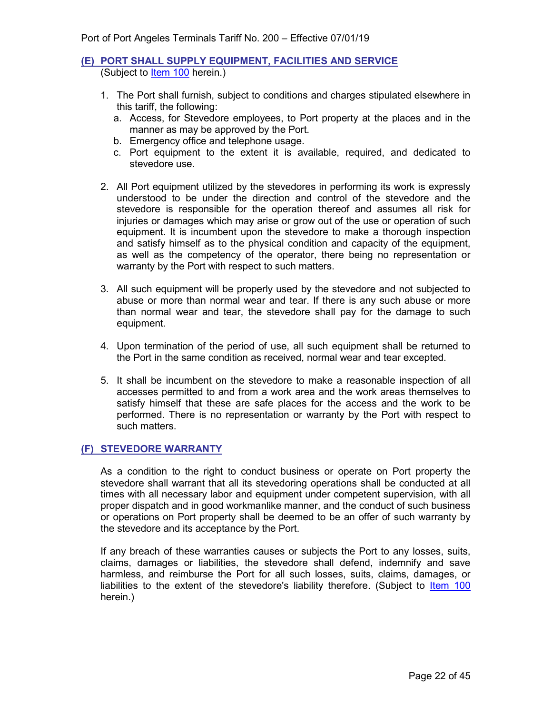#### <span id="page-21-0"></span>**(E) PORT SHALL SUPPLY EQUIPMENT, FACILITIES AND SERVICE** (Subject to [Item 100](#page-8-2) herein.)

- 1. The Port shall furnish, subject to conditions and charges stipulated elsewhere in this tariff, the following:
	- a. Access, for Stevedore employees, to Port property at the places and in the manner as may be approved by the Port.
	- b. Emergency office and telephone usage.
	- c. Port equipment to the extent it is available, required, and dedicated to stevedore use.
- 2. All Port equipment utilized by the stevedores in performing its work is expressly understood to be under the direction and control of the stevedore and the stevedore is responsible for the operation thereof and assumes all risk for injuries or damages which may arise or grow out of the use or operation of such equipment. It is incumbent upon the stevedore to make a thorough inspection and satisfy himself as to the physical condition and capacity of the equipment, as well as the competency of the operator, there being no representation or warranty by the Port with respect to such matters.
- 3. All such equipment will be properly used by the stevedore and not subjected to abuse or more than normal wear and tear. If there is any such abuse or more than normal wear and tear, the stevedore shall pay for the damage to such equipment.
- 4. Upon termination of the period of use, all such equipment shall be returned to the Port in the same condition as received, normal wear and tear excepted.
- 5. It shall be incumbent on the stevedore to make a reasonable inspection of all accesses permitted to and from a work area and the work areas themselves to satisfy himself that these are safe places for the access and the work to be performed. There is no representation or warranty by the Port with respect to such matters.

#### <span id="page-21-1"></span>**(F) STEVEDORE WARRANTY**

As a condition to the right to conduct business or operate on Port property the stevedore shall warrant that all its stevedoring operations shall be conducted at all times with all necessary labor and equipment under competent supervision, with all proper dispatch and in good workmanlike manner, and the conduct of such business or operations on Port property shall be deemed to be an offer of such warranty by the stevedore and its acceptance by the Port.

If any breach of these warranties causes or subjects the Port to any losses, suits, claims, damages or liabilities, the stevedore shall defend, indemnify and save harmless, and reimburse the Port for all such losses, suits, claims, damages, or liabilities to the extent of the stevedore's liability therefore. (Subject to [Item 100](#page-8-2) herein.)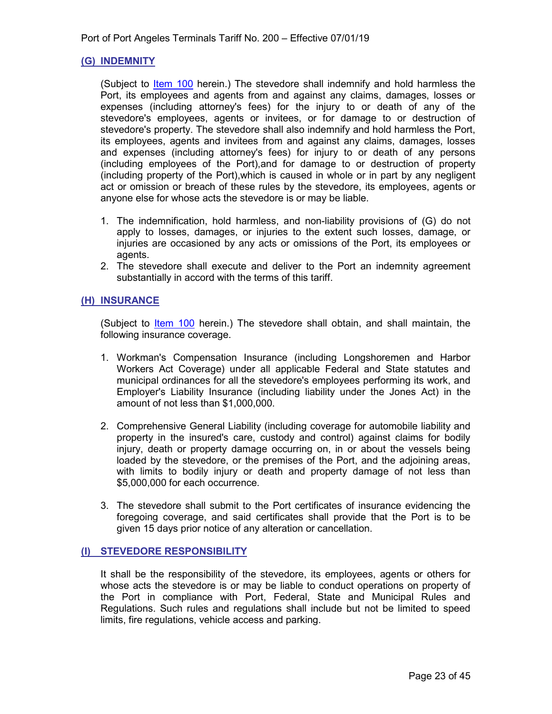#### <span id="page-22-0"></span>**(G) INDEMNITY**

(Subject to *Item 100* herein.) The stevedore shall indemnify and hold harmless the Port, its employees and agents from and against any claims, damages, losses or expenses (including attorney's fees) for the injury to or death of any of the stevedore's employees, agents or invitees, or for damage to or destruction of stevedore's property. The stevedore shall also indemnify and hold harmless the Port, its employees, agents and invitees from and against any claims, damages, losses and expenses (including attorney's fees) for injury to or death of any persons (including employees of the Port),and for damage to or destruction of property (including property of the Port),which is caused in whole or in part by any negligent act or omission or breach of these rules by the stevedore, its employees, agents or anyone else for whose acts the stevedore is or may be liable.

- 1. The indemnification, hold harmless, and non-liability provisions of (G) do not apply to losses, damages, or injuries to the extent such losses, damage, or injuries are occasioned by any acts or omissions of the Port, its employees or agents.
- 2. The stevedore shall execute and deliver to the Port an indemnity agreement substantially in accord with the terms of this tariff.

#### <span id="page-22-1"></span>**(H) INSURANCE**

(Subject to [Item 100](#page-8-2) herein.) The stevedore shall obtain, and shall maintain, the following insurance coverage.

- 1. Workman's Compensation Insurance (including Longshoremen and Harbor Workers Act Coverage) under all applicable Federal and State statutes and municipal ordinances for all the stevedore's employees performing its work, and Employer's Liability Insurance (including liability under the Jones Act) in the amount of not less than \$1,000,000.
- 2. Comprehensive General Liability (including coverage for automobile liability and property in the insured's care, custody and control) against claims for bodily injury, death or property damage occurring on, in or about the vessels being loaded by the stevedore, or the premises of the Port, and the adjoining areas, with limits to bodily injury or death and property damage of not less than \$5,000,000 for each occurrence.
- 3. The stevedore shall submit to the Port certificates of insurance evidencing the foregoing coverage, and said certificates shall provide that the Port is to be given 15 days prior notice of any alteration or cancellation.

#### <span id="page-22-2"></span>**(I) STEVEDORE RESPONSIBILITY**

It shall be the responsibility of the stevedore, its employees, agents or others for whose acts the stevedore is or may be liable to conduct operations on property of the Port in compliance with Port, Federal, State and Municipal Rules and Regulations. Such rules and regulations shall include but not be limited to speed limits, fire regulations, vehicle access and parking.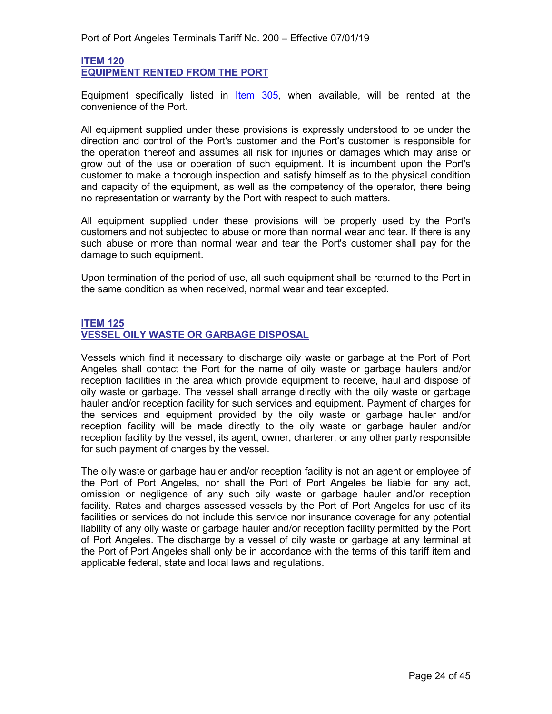#### <span id="page-23-1"></span><span id="page-23-0"></span>**ITEM 120 EQUIPMENT RENTED FROM THE PORT**

Equipment specifically listed in [Item 305,](#page-38-1) when available, will be rented at the convenience of the Port.

All equipment supplied under these provisions is expressly understood to be under the direction and control of the Port's customer and the Port's customer is responsible for the operation thereof and assumes all risk for injuries or damages which may arise or grow out of the use or operation of such equipment. It is incumbent upon the Port's customer to make a thorough inspection and satisfy himself as to the physical condition and capacity of the equipment, as well as the competency of the operator, there being no representation or warranty by the Port with respect to such matters.

All equipment supplied under these provisions will be properly used by the Port's customers and not subjected to abuse or more than normal wear and tear. If there is any such abuse or more than normal wear and tear the Port's customer shall pay for the damage to such equipment.

Upon termination of the period of use, all such equipment shall be returned to the Port in the same condition as when received, normal wear and tear excepted.

#### <span id="page-23-3"></span><span id="page-23-2"></span>**ITEM 125 VESSEL OILY WASTE OR GARBAGE DISPOSAL**

Vessels which find it necessary to discharge oily waste or garbage at the Port of Port Angeles shall contact the Port for the name of oily waste or garbage haulers and/or reception facilities in the area which provide equipment to receive, haul and dispose of oily waste or garbage. The vessel shall arrange directly with the oily waste or garbage hauler and/or reception facility for such services and equipment. Payment of charges for the services and equipment provided by the oily waste or garbage hauler and/or reception facility will be made directly to the oily waste or garbage hauler and/or reception facility by the vessel, its agent, owner, charterer, or any other party responsible for such payment of charges by the vessel.

The oily waste or garbage hauler and/or reception facility is not an agent or employee of the Port of Port Angeles, nor shall the Port of Port Angeles be liable for any act, omission or negligence of any such oily waste or garbage hauler and/or reception facility. Rates and charges assessed vessels by the Port of Port Angeles for use of its facilities or services do not include this service nor insurance coverage for any potential liability of any oily waste or garbage hauler and/or reception facility permitted by the Port of Port Angeles. The discharge by a vessel of oily waste or garbage at any terminal at the Port of Port Angeles shall only be in accordance with the terms of this tariff item and applicable federal, state and local laws and regulations.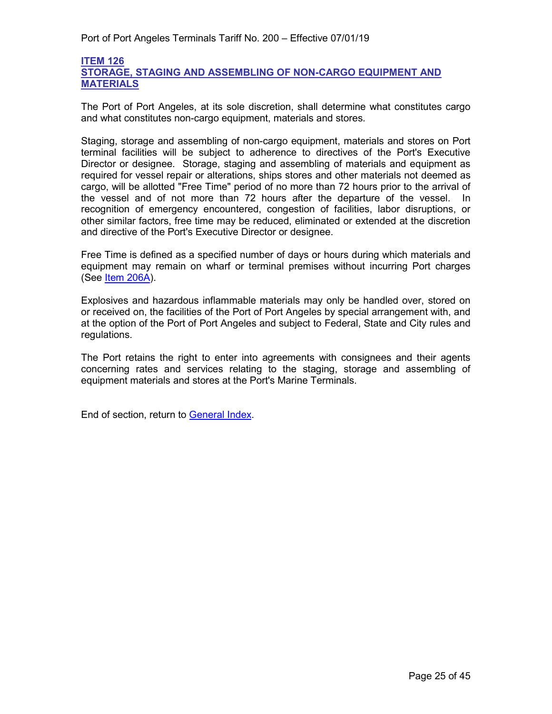#### <span id="page-24-1"></span><span id="page-24-0"></span>**ITEM 126 STORAGE, STAGING AND ASSEMBLING OF NON-CARGO EQUIPMENT AND MATERIALS**

The Port of Port Angeles, at its sole discretion, shall determine what constitutes cargo and what constitutes non-cargo equipment, materials and stores.

Staging, storage and assembling of non-cargo equipment, materials and stores on Port terminal facilities will be subject to adherence to directives of the Port's Executive Director or designee. Storage, staging and assembling of materials and equipment as required for vessel repair or alterations, ships stores and other materials not deemed as cargo, will be allotted "Free Time" period of no more than 72 hours prior to the arrival of the vessel and of not more than 72 hours after the departure of the vessel. In recognition of emergency encountered, congestion of facilities, labor disruptions, or other similar factors, free time may be reduced, eliminated or extended at the discretion and directive of the Port's Executive Director or designee.

Free Time is defined as a specified number of days or hours during which materials and equipment may remain on wharf or terminal premises without incurring Port charges (See [Item 206A\)](#page-29-3).

Explosives and hazardous inflammable materials may only be handled over, stored on or received on, the facilities of the Port of Port Angeles by special arrangement with, and at the option of the Port of Port Angeles and subject to Federal, State and City rules and regulations.

The Port retains the right to enter into agreements with consignees and their agents concerning rates and services relating to the staging, storage and assembling of equipment materials and stores at the Port's Marine Terminals.

End of section, return to [General Index.](#page-3-0)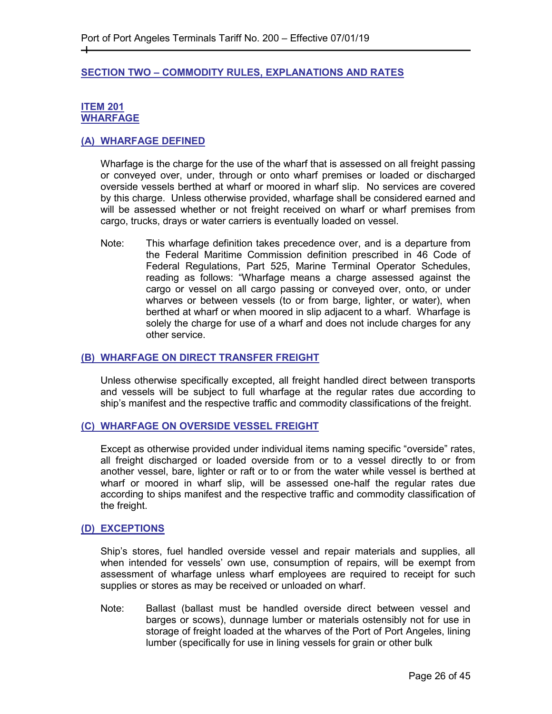#### <span id="page-25-0"></span>**SECTION TWO – COMMODITY RULES, EXPLANATIONS AND RATES**

#### <span id="page-25-2"></span><span id="page-25-1"></span>**ITEM 201 WHARFAGE**

┿

#### <span id="page-25-3"></span>**(A) WHARFAGE DEFINED**

Wharfage is the charge for the use of the wharf that is assessed on all freight passing or conveyed over, under, through or onto wharf premises or loaded or discharged overside vessels berthed at wharf or moored in wharf slip. No services are covered by this charge. Unless otherwise provided, wharfage shall be considered earned and will be assessed whether or not freight received on wharf or wharf premises from cargo, trucks, drays or water carriers is eventually loaded on vessel.

Note: This wharfage definition takes precedence over, and is a departure from the Federal Maritime Commission definition prescribed in 46 Code of Federal Regulations, Part 525, Marine Terminal Operator Schedules, reading as follows: "Wharfage means a charge assessed against the cargo or vessel on all cargo passing or conveyed over, onto, or under wharves or between vessels (to or from barge, lighter, or water), when berthed at wharf or when moored in slip adjacent to a wharf. Wharfage is solely the charge for use of a wharf and does not include charges for any other service.

#### <span id="page-25-4"></span>**(B) WHARFAGE ON DIRECT TRANSFER FREIGHT**

Unless otherwise specifically excepted, all freight handled direct between transports and vessels will be subject to full wharfage at the regular rates due according to ship's manifest and the respective traffic and commodity classifications of the freight.

#### <span id="page-25-5"></span>**(C) WHARFAGE ON OVERSIDE VESSEL FREIGHT**

Except as otherwise provided under individual items naming specific "overside" rates, all freight discharged or loaded overside from or to a vessel directly to or from another vessel, bare, lighter or raft or to or from the water while vessel is berthed at wharf or moored in wharf slip, will be assessed one-half the regular rates due according to ships manifest and the respective traffic and commodity classification of the freight.

#### <span id="page-25-6"></span>**(D) EXCEPTIONS**

Ship's stores, fuel handled overside vessel and repair materials and supplies, all when intended for vessels' own use, consumption of repairs, will be exempt from assessment of wharfage unless wharf employees are required to receipt for such supplies or stores as may be received or unloaded on wharf.

Note: Ballast (ballast must be handled overside direct between vessel and barges or scows), dunnage lumber or materials ostensibly not for use in storage of freight loaded at the wharves of the Port of Port Angeles, lining lumber (specifically for use in lining vessels for grain or other bulk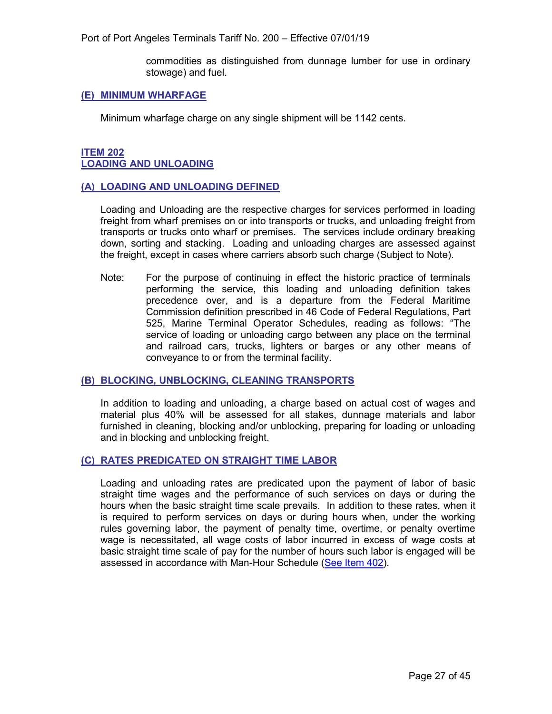Port of Port Angeles Terminals Tariff No. 200 – Effective 07/01/19

commodities as distinguished from dunnage lumber for use in ordinary stowage) and fuel.

#### <span id="page-26-0"></span>**(E) MINIMUM WHARFAGE**

Minimum wharfage charge on any single shipment will be 1142 cents.

#### <span id="page-26-2"></span><span id="page-26-1"></span>**ITEM 202 LOADING AND UNLOADING**

#### <span id="page-26-3"></span>**(A) LOADING AND UNLOADING DEFINED**

Loading and Unloading are the respective charges for services performed in loading freight from wharf premises on or into transports or trucks, and unloading freight from transports or trucks onto wharf or premises. The services include ordinary breaking down, sorting and stacking. Loading and unloading charges are assessed against the freight, except in cases where carriers absorb such charge (Subject to Note).

Note: For the purpose of continuing in effect the historic practice of terminals performing the service, this loading and unloading definition takes precedence over, and is a departure from the Federal Maritime Commission definition prescribed in 46 Code of Federal Regulations, Part 525, Marine Terminal Operator Schedules, reading as follows: "The service of loading or unloading cargo between any place on the terminal and railroad cars, trucks, lighters or barges or any other means of conveyance to or from the terminal facility.

#### <span id="page-26-4"></span>**(B) BLOCKING, UNBLOCKING, CLEANING TRANSPORTS**

In addition to loading and unloading, a charge based on actual cost of wages and material plus 40% will be assessed for all stakes, dunnage materials and labor furnished in cleaning, blocking and/or unblocking, preparing for loading or unloading and in blocking and unblocking freight.

#### <span id="page-26-5"></span>**(C) RATES PREDICATED ON STRAIGHT TIME LABOR**

Loading and unloading rates are predicated upon the payment of labor of basic straight time wages and the performance of such services on days or during the hours when the basic straight time scale prevails. In addition to these rates, when it is required to perform services on days or during hours when, under the working rules governing labor, the payment of penalty time, overtime, or penalty overtime wage is necessitated, all wage costs of labor incurred in excess of wage costs at basic straight time scale of pay for the number of hours such labor is engaged will be assessed in accordance with Man-Hour Schedule [\(See Item 402\)](#page-43-2).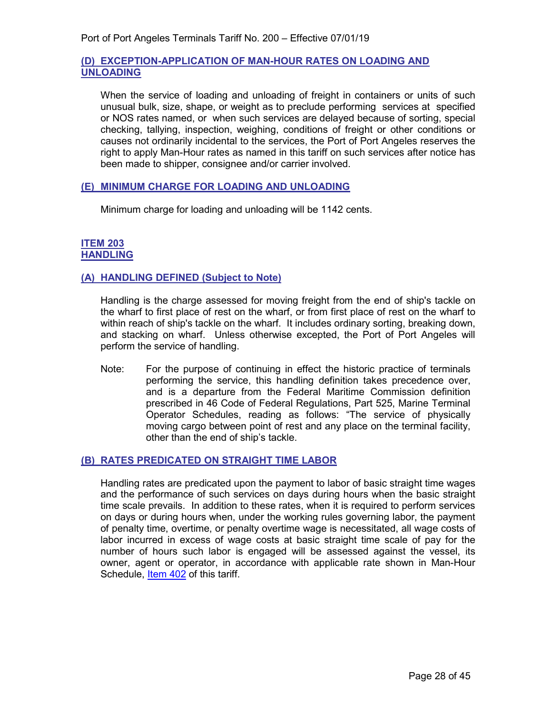#### <span id="page-27-0"></span>**(D) EXCEPTION-APPLICATION OF MAN-HOUR RATES ON LOADING AND UNLOADING**

When the service of loading and unloading of freight in containers or units of such unusual bulk, size, shape, or weight as to preclude performing services at specified or NOS rates named, or when such services are delayed because of sorting, special checking, tallying, inspection, weighing, conditions of freight or other conditions or causes not ordinarily incidental to the services, the Port of Port Angeles reserves the right to apply Man-Hour rates as named in this tariff on such services after notice has been made to shipper, consignee and/or carrier involved.

#### <span id="page-27-1"></span>**(E) MINIMUM CHARGE FOR LOADING AND UNLOADING**

Minimum charge for loading and unloading will be 1142 cents.

#### <span id="page-27-3"></span><span id="page-27-2"></span>**ITEM 203 HANDLING**

#### <span id="page-27-4"></span>**(A) HANDLING DEFINED (Subject to Note)**

Handling is the charge assessed for moving freight from the end of ship's tackle on the wharf to first place of rest on the wharf, or from first place of rest on the wharf to within reach of ship's tackle on the wharf. It includes ordinary sorting, breaking down, and stacking on wharf. Unless otherwise excepted, the Port of Port Angeles will perform the service of handling.

Note: For the purpose of continuing in effect the historic practice of terminals performing the service, this handling definition takes precedence over, and is a departure from the Federal Maritime Commission definition prescribed in 46 Code of Federal Regulations, Part 525, Marine Terminal Operator Schedules, reading as follows: "The service of physically moving cargo between point of rest and any place on the terminal facility, other than the end of ship's tackle.

#### <span id="page-27-5"></span>**(B) RATES PREDICATED ON STRAIGHT TIME LABOR**

Handling rates are predicated upon the payment to labor of basic straight time wages and the performance of such services on days during hours when the basic straight time scale prevails. In addition to these rates, when it is required to perform services on days or during hours when, under the working rules governing labor, the payment of penalty time, overtime, or penalty overtime wage is necessitated, all wage costs of labor incurred in excess of wage costs at basic straight time scale of pay for the number of hours such labor is engaged will be assessed against the vessel, its owner, agent or operator, in accordance with applicable rate shown in Man-Hour Schedule, [Item 402](#page-43-2) of this tariff.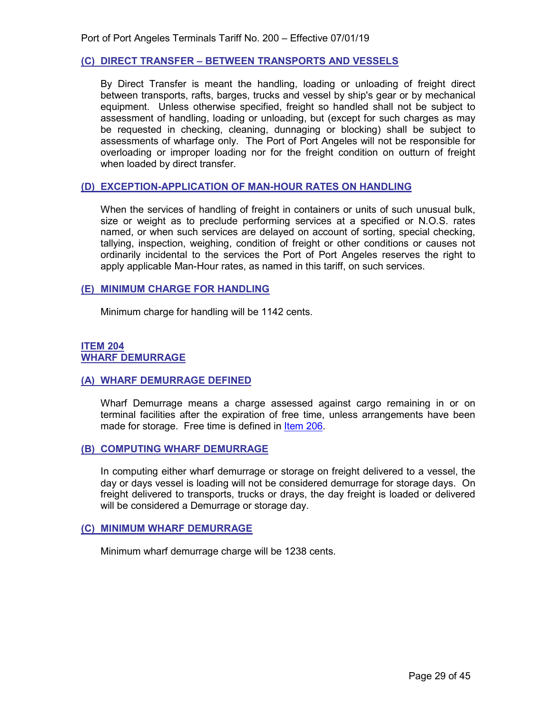#### <span id="page-28-0"></span>**(C) DIRECT TRANSFER – BETWEEN TRANSPORTS AND VESSELS**

By Direct Transfer is meant the handling, loading or unloading of freight direct between transports, rafts, barges, trucks and vessel by ship's gear or by mechanical equipment. Unless otherwise specified, freight so handled shall not be subject to assessment of handling, loading or unloading, but (except for such charges as may be requested in checking, cleaning, dunnaging or blocking) shall be subject to assessments of wharfage only. The Port of Port Angeles will not be responsible for overloading or improper loading nor for the freight condition on outturn of freight when loaded by direct transfer.

#### <span id="page-28-1"></span>**(D) EXCEPTION-APPLICATION OF MAN-HOUR RATES ON HANDLING**

When the services of handling of freight in containers or units of such unusual bulk, size or weight as to preclude performing services at a specified or N.O.S. rates named, or when such services are delayed on account of sorting, special checking, tallying, inspection, weighing, condition of freight or other conditions or causes not ordinarily incidental to the services the Port of Port Angeles reserves the right to apply applicable Man-Hour rates, as named in this tariff, on such services.

#### <span id="page-28-2"></span>**(E) MINIMUM CHARGE FOR HANDLING**

Minimum charge for handling will be 1142 cents.

#### <span id="page-28-4"></span><span id="page-28-3"></span>**ITEM 204 WHARF DEMURRAGE**

#### <span id="page-28-5"></span>**(A) WHARF DEMURRAGE DEFINED**

Wharf Demurrage means a charge assessed against cargo remaining in or on terminal facilities after the expiration of free time, unless arrangements have been made for storage. Free time is defined in [Item 206.](#page-29-2)

#### <span id="page-28-6"></span>**(B) COMPUTING WHARF DEMURRAGE**

In computing either wharf demurrage or storage on freight delivered to a vessel, the day or days vessel is loading will not be considered demurrage for storage days. On freight delivered to transports, trucks or drays, the day freight is loaded or delivered will be considered a Demurrage or storage day.

#### <span id="page-28-7"></span>**(C) MINIMUM WHARF DEMURRAGE**

<span id="page-28-8"></span>Minimum wharf demurrage charge will be 1238 cents.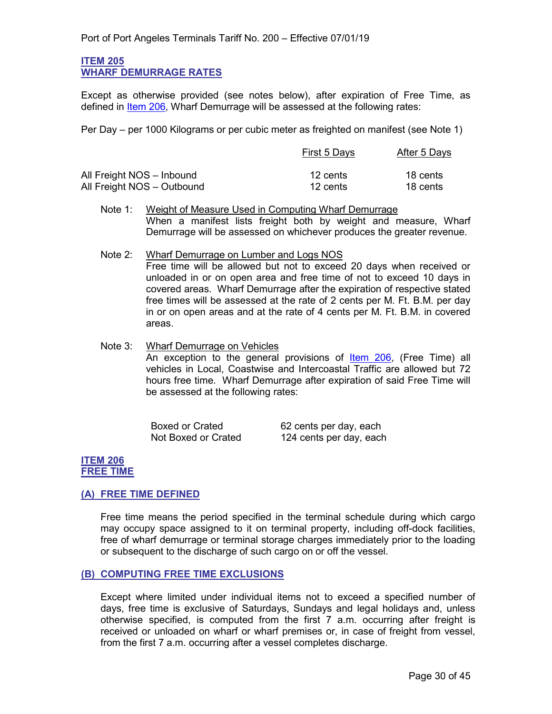#### <span id="page-29-0"></span>**ITEM 205 WHARF DEMURRAGE RATES**

Except as otherwise provided (see notes below), after expiration of Free Time, as defined in [Item 206,](#page-29-2) Wharf Demurrage will be assessed at the following rates:

Per Day – per 1000 Kilograms or per cubic meter as freighted on manifest (see Note 1)

|                            | First 5 Days | After 5 Days |
|----------------------------|--------------|--------------|
| All Freight NOS - Inbound  | 12 cents     | 18 cents     |
| All Freight NOS - Outbound | 12 cents     | 18 cents     |

- Note 1: Weight of Measure Used in Computing Wharf Demurrage When a manifest lists freight both by weight and measure, Wharf Demurrage will be assessed on whichever produces the greater revenue.
- Note 2: Wharf Demurrage on Lumber and Logs NOS Free time will be allowed but not to exceed 20 days when received or unloaded in or on open area and free time of not to exceed 10 days in covered areas. Wharf Demurrage after the expiration of respective stated free times will be assessed at the rate of 2 cents per M. Ft. B.M. per day in or on open areas and at the rate of 4 cents per M. Ft. B.M. in covered areas.
- Note 3: Wharf Demurrage on Vehicles An exception to the general provisions of **Item 206**, (Free Time) all vehicles in Local, Coastwise and Intercoastal Traffic are allowed but 72 hours free time. Wharf Demurrage after expiration of said Free Time will be assessed at the following rates:

| <b>Boxed or Crated</b> | 62 cents per day, each  |
|------------------------|-------------------------|
| Not Boxed or Crated    | 124 cents per day, each |

#### <span id="page-29-2"></span><span id="page-29-1"></span>**ITEM 206 FREE TIME**

#### <span id="page-29-3"></span>**(A) FREE TIME DEFINED**

Free time means the period specified in the terminal schedule during which cargo may occupy space assigned to it on terminal property, including off-dock facilities, free of wharf demurrage or terminal storage charges immediately prior to the loading or subsequent to the discharge of such cargo on or off the vessel.

#### <span id="page-29-4"></span>**(B) COMPUTING FREE TIME EXCLUSIONS**

Except where limited under individual items not to exceed a specified number of days, free time is exclusive of Saturdays, Sundays and legal holidays and, unless otherwise specified, is computed from the first 7 a.m. occurring after freight is received or unloaded on wharf or wharf premises or, in case of freight from vessel, from the first 7 a.m. occurring after a vessel completes discharge.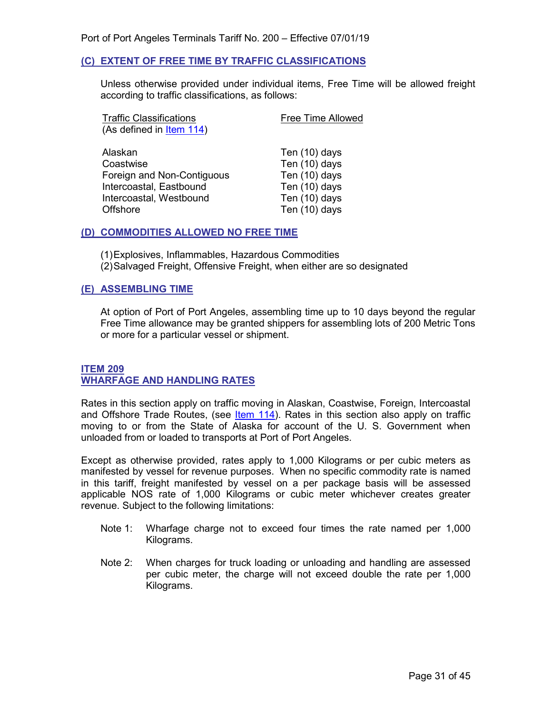#### <span id="page-30-0"></span>**(C) EXTENT OF FREE TIME BY TRAFFIC CLASSIFICATIONS**

Unless otherwise provided under individual items, Free Time will be allowed freight according to traffic classifications, as follows:

| (As defined in Item 114)                                                                                 | <b>Free Time Allowed</b>                                                          |
|----------------------------------------------------------------------------------------------------------|-----------------------------------------------------------------------------------|
|                                                                                                          |                                                                                   |
| Alaskan<br>Coastwise<br>Foreign and Non-Contiguous<br>Intercoastal, Eastbound<br>Intercoastal, Westbound | Ten (10) days<br>Ten (10) days<br>Ten (10) days<br>Ten (10) days<br>Ten (10) days |
| Offshore                                                                                                 | Ten (10) days                                                                     |

#### <span id="page-30-1"></span>**(D) COMMODITIES ALLOWED NO FREE TIME**

(1)Explosives, Inflammables, Hazardous Commodities (2)Salvaged Freight, Offensive Freight, when either are so designated

#### <span id="page-30-2"></span>**(E) ASSEMBLING TIME**

At option of Port of Port Angeles, assembling time up to 10 days beyond the regular Free Time allowance may be granted shippers for assembling lots of 200 Metric Tons or more for a particular vessel or shipment.

#### <span id="page-30-4"></span><span id="page-30-3"></span>**ITEM 209 WHARFAGE AND HANDLING RATES**

Rates in this section apply on traffic moving in Alaskan, Coastwise, Foreign, Intercoastal and Offshore Trade Routes, (see  $ltem 114$ ). Rates in this section also apply on traffic</u> moving to or from the State of Alaska for account of the U. S. Government when unloaded from or loaded to transports at Port of Port Angeles.

Except as otherwise provided, rates apply to 1,000 Kilograms or per cubic meters as manifested by vessel for revenue purposes. When no specific commodity rate is named in this tariff, freight manifested by vessel on a per package basis will be assessed applicable NOS rate of 1,000 Kilograms or cubic meter whichever creates greater revenue. Subject to the following limitations:

- Note 1: Wharfage charge not to exceed four times the rate named per 1,000 Kilograms.
- Note 2: When charges for truck loading or unloading and handling are assessed per cubic meter, the charge will not exceed double the rate per 1,000 Kilograms.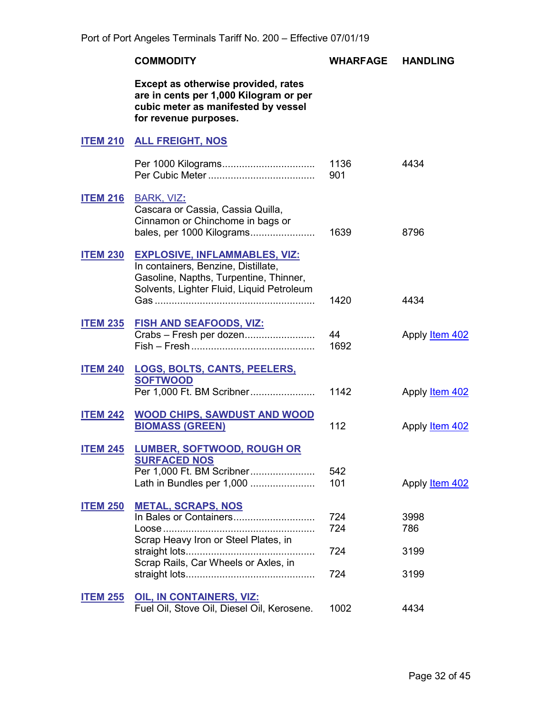<span id="page-31-14"></span><span id="page-31-13"></span><span id="page-31-12"></span><span id="page-31-11"></span><span id="page-31-10"></span><span id="page-31-9"></span><span id="page-31-8"></span><span id="page-31-7"></span><span id="page-31-6"></span><span id="page-31-5"></span><span id="page-31-4"></span><span id="page-31-3"></span><span id="page-31-2"></span><span id="page-31-1"></span><span id="page-31-0"></span>

|                 | <b>COMMODITY</b>                                                                                                                                                   | WHARFAGE                 | <b>HANDLING</b>             |
|-----------------|--------------------------------------------------------------------------------------------------------------------------------------------------------------------|--------------------------|-----------------------------|
|                 | Except as otherwise provided, rates<br>are in cents per 1,000 Kilogram or per<br>cubic meter as manifested by vessel<br>for revenue purposes.                      |                          |                             |
|                 | <b>ITEM 210 ALL FREIGHT, NOS</b>                                                                                                                                   |                          |                             |
|                 |                                                                                                                                                                    | 1136<br>901              | 4434                        |
|                 | <b>ITEM 216 BARK, VIZ:</b><br>Cascara or Cassia, Cassia Quilla,<br>Cinnamon or Chinchome in bags or<br>bales, per 1000 Kilograms                                   | 1639                     | 8796                        |
| <b>ITEM 230</b> | <b>EXPLOSIVE, INFLAMMABLES, VIZ:</b><br>In containers, Benzine, Distillate,<br>Gasoline, Napths, Turpentine, Thinner,<br>Solvents, Lighter Fluid, Liquid Petroleum | 1420                     | 4434                        |
|                 | ITEM 235 FISH AND SEAFOODS, VIZ:<br>Crabs - Fresh per dozen                                                                                                        | 44<br>1692               | Apply <b>Item 402</b>       |
|                 | <b>ITEM 240 LOGS, BOLTS, CANTS, PEELERS,</b><br><b>SOFTWOOD</b><br>Per 1,000 Ft. BM Scribner                                                                       | 1142                     | Apply <b>Item 402</b>       |
| <b>ITEM 242</b> | <b>WOOD CHIPS, SAWDUST AND WOOD</b><br><b>BIOMASS (GREEN)</b>                                                                                                      | 112                      | Apply Item 402              |
| <b>ITEM 245</b> | <b>LUMBER, SOFTWOOD, ROUGH OR</b><br><b>SURFACED NOS</b><br>Per 1,000 Ft. BM Scribner<br>Lath in Bundles per 1,000                                                 | 542<br>101               | Apply <b>Item 402</b>       |
| <b>ITEM 250</b> | <b>METAL, SCRAPS, NOS</b><br>Scrap Heavy Iron or Steel Plates, in<br>Scrap Rails, Car Wheels or Axles, in                                                          | 724<br>724<br>724<br>724 | 3998<br>786<br>3199<br>3199 |
| <b>ITEM 255</b> | <b>OIL, IN CONTAINERS, VIZ:</b><br>Fuel Oil, Stove Oil, Diesel Oil, Kerosene.                                                                                      | 1002                     | 4434                        |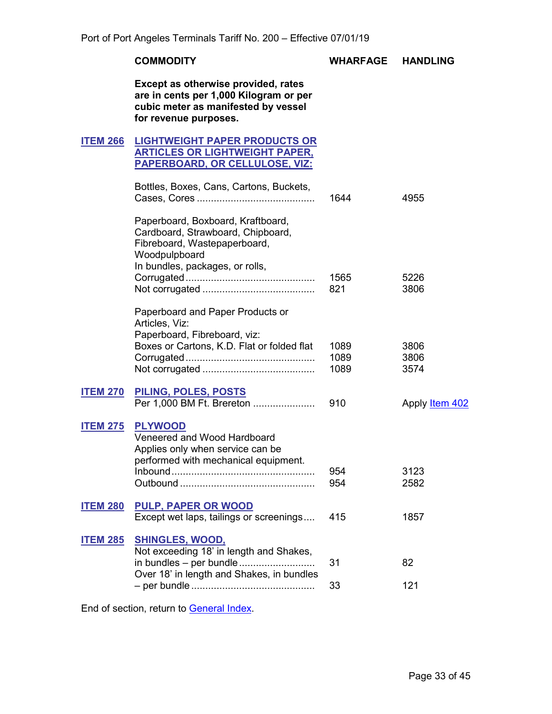#### **COMMODITY WHARFAGE HANDLING**

**Except as otherwise provided, rates are in cents per 1,000 Kilogram or per cubic meter as manifested by vessel for revenue purposes.**

#### <span id="page-32-1"></span><span id="page-32-0"></span>**ITEM 266 LIGHTWEIGHT PAPER PRODUCTS OR ARTICLES OR LIGHTWEIGHT PAPER, PAPERBOARD, OR CELLULOSE, VIZ:**

<span id="page-32-3"></span><span id="page-32-2"></span>

|                 | Bottles, Boxes, Cans, Cartons, Buckets,                                                                                                                    | 1644                 | 4955                  |
|-----------------|------------------------------------------------------------------------------------------------------------------------------------------------------------|----------------------|-----------------------|
|                 | Paperboard, Boxboard, Kraftboard,<br>Cardboard, Strawboard, Chipboard,<br>Fibreboard, Wastepaperboard,<br>Woodpulpboard<br>In bundles, packages, or rolls, | 1565                 | 5226                  |
|                 | Paperboard and Paper Products or<br>Articles, Viz:<br>Paperboard, Fibreboard, viz:                                                                         | 821                  | 3806                  |
|                 | Boxes or Cartons, K.D. Flat or folded flat                                                                                                                 | 1089<br>1089<br>1089 | 3806<br>3806<br>3574  |
| <b>ITEM 270</b> | PILING, POLES, POSTS<br>Per 1,000 BM Ft. Brereton                                                                                                          | 910                  | Apply <b>Item 402</b> |
| <b>ITEM 275</b> | <b>PLYWOOD</b><br>Veneered and Wood Hardboard<br>Applies only when service can be<br>performed with mechanical equipment.                                  | 954<br>954           | 3123<br>2582          |
| <b>ITEM 280</b> | <b>PULP, PAPER OR WOOD</b><br>Except wet laps, tailings or screenings                                                                                      | 415                  | 1857                  |
| <b>ITEM 285</b> | <b>SHINGLES, WOOD,</b><br>Not exceeding 18' in length and Shakes,<br>in bundles - per bundle<br>Over 18' in length and Shakes, in bundles                  | 31                   | 82                    |
|                 |                                                                                                                                                            | 33                   | 121                   |

<span id="page-32-9"></span><span id="page-32-8"></span><span id="page-32-7"></span><span id="page-32-6"></span><span id="page-32-5"></span><span id="page-32-4"></span>End of section, return to [General Index.](#page-3-0)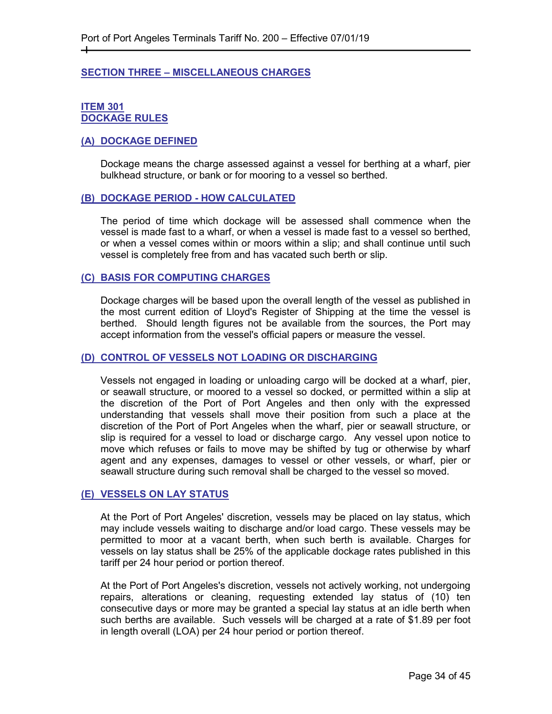#### <span id="page-33-0"></span>**SECTION THREE – MISCELLANEOUS CHARGES**

#### <span id="page-33-2"></span><span id="page-33-1"></span>**ITEM 301 DOCKAGE RULES**

 $+$ 

#### <span id="page-33-3"></span>**(A) DOCKAGE DEFINED**

Dockage means the charge assessed against a vessel for berthing at a wharf, pier bulkhead structure, or bank or for mooring to a vessel so berthed.

#### <span id="page-33-4"></span>**(B) DOCKAGE PERIOD - HOW CALCULATED**

The period of time which dockage will be assessed shall commence when the vessel is made fast to a wharf, or when a vessel is made fast to a vessel so berthed, or when a vessel comes within or moors within a slip; and shall continue until such vessel is completely free from and has vacated such berth or slip.

#### <span id="page-33-5"></span>**(C) BASIS FOR COMPUTING CHARGES**

Dockage charges will be based upon the overall length of the vessel as published in the most current edition of Lloyd's Register of Shipping at the time the vessel is berthed. Should length figures not be available from the sources, the Port may accept information from the vessel's official papers or measure the vessel.

#### <span id="page-33-6"></span>**(D) CONTROL OF VESSELS NOT LOADING OR DISCHARGING**

Vessels not engaged in loading or unloading cargo will be docked at a wharf, pier, or seawall structure, or moored to a vessel so docked, or permitted within a slip at the discretion of the Port of Port Angeles and then only with the expressed understanding that vessels shall move their position from such a place at the discretion of the Port of Port Angeles when the wharf, pier or seawall structure, or slip is required for a vessel to load or discharge cargo. Any vessel upon notice to move which refuses or fails to move may be shifted by tug or otherwise by wharf agent and any expenses, damages to vessel or other vessels, or wharf, pier or seawall structure during such removal shall be charged to the vessel so moved.

#### <span id="page-33-7"></span>**(E) VESSELS ON LAY STATUS**

At the Port of Port Angeles' discretion, vessels may be placed on lay status, which may include vessels waiting to discharge and/or load cargo. These vessels may be permitted to moor at a vacant berth, when such berth is available. Charges for vessels on lay status shall be 25% of the applicable dockage rates published in this tariff per 24 hour period or portion thereof.

At the Port of Port Angeles's discretion, vessels not actively working, not undergoing repairs, alterations or cleaning, requesting extended lay status of (10) ten consecutive days or more may be granted a special lay status at an idle berth when such berths are available. Such vessels will be charged at a rate of \$1.89 per foot in length overall (LOA) per 24 hour period or portion thereof.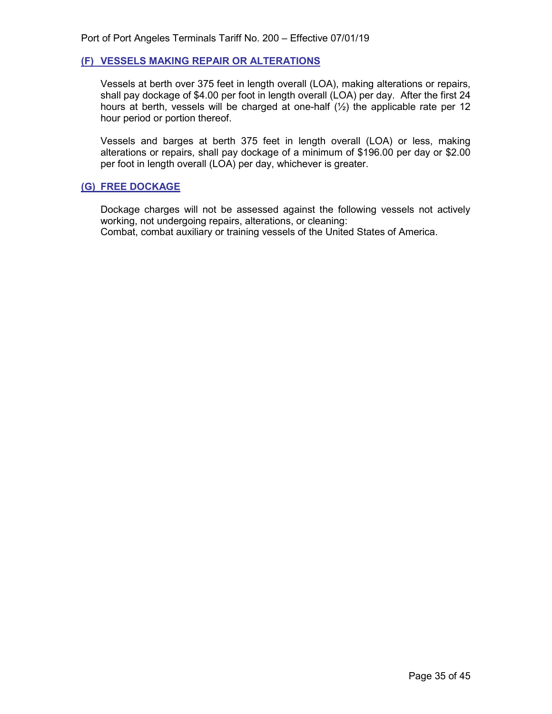#### <span id="page-34-0"></span>**(F) VESSELS MAKING REPAIR OR ALTERATIONS**

Vessels at berth over 375 feet in length overall (LOA), making alterations or repairs, shall pay dockage of \$4.00 per foot in length overall (LOA) per day. After the first  $24$ hours at berth, vessels will be charged at one-half  $(1/2)$  the applicable rate per 12 hour period or portion thereof.

Vessels and barges at berth 375 feet in length overall (LOA) or less, making alterations or repairs, shall pay dockage of a minimum of \$196.00 per day or \$2.00 per foot in length overall (LOA) per day, whichever is greater.

#### <span id="page-34-1"></span>**(G) FREE DOCKAGE**

<span id="page-34-2"></span>Dockage charges will not be assessed against the following vessels not actively working, not undergoing repairs, alterations, or cleaning: Combat, combat auxiliary or training vessels of the United States of America.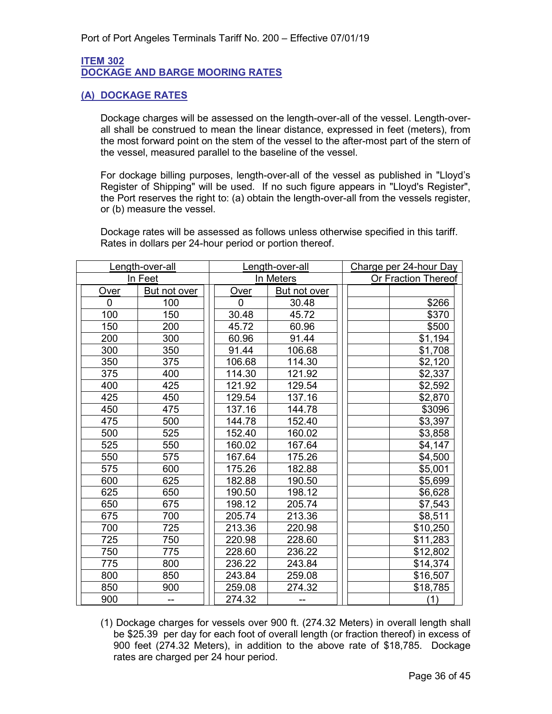#### <span id="page-35-0"></span>**ITEM 302 DOCKAGE AND BARGE MOORING RATES**

#### <span id="page-35-1"></span>**(A) DOCKAGE RATES**

Dockage charges will be assessed on the length-over-all of the vessel. Length-overall shall be construed to mean the linear distance, expressed in feet (meters), from the most forward point on the stem of the vessel to the after-most part of the stern of the vessel, measured parallel to the baseline of the vessel.

For dockage billing purposes, length-over-all of the vessel as published in "Lloyd's Register of Shipping" will be used. If no such figure appears in "Lloyd's Register", the Port reserves the right to: (a) obtain the length-over-all from the vessels register, or (b) measure the vessel.

Dockage rates will be assessed as follows unless otherwise specified in this tariff. Rates in dollars per 24-hour period or portion thereof.

|          | Length-over-all | Length-over-all |              | Charge per 24-hour Day |
|----------|-----------------|-----------------|--------------|------------------------|
|          | In Feet         | In Meters       |              | Or Fraction Thereof    |
| Over     | But not over    | Over            | But not over |                        |
| $\Omega$ | 100             | $\mathbf{0}$    | 30.48        | \$266                  |
| 100      | 150             | 30.48           | 45.72        | \$370                  |
| 150      | 200             | 45.72           | 60.96        | \$500                  |
| 200      | 300             | 60.96           | 91.44        | \$1,194                |
| 300      | 350             | 91.44           | 106.68       | \$1,708                |
| 350      | 375             | 106.68          | 114.30       | \$2,120                |
| 375      | 400             | 114.30          | 121.92       | \$2,337                |
| 400      | 425             | 121.92          | 129.54       | \$2,592                |
| 425      | 450             | 129.54          | 137.16       | \$2,870                |
| 450      | 475             | 137.16          | 144.78       | \$3096                 |
| 475      | 500             | 144.78          | 152.40       | \$3,397                |
| 500      | 525             | 152.40          | 160.02       | \$3,858                |
| 525      | 550             | 160.02          | 167.64       | \$4,147                |
| 550      | 575             | 167.64          | 175.26       | \$4,500                |
| 575      | 600             | 175.26          | 182.88       | \$5,001                |
| 600      | 625             | 182.88          | 190.50       | \$5,699                |
| 625      | 650             | 190.50          | 198.12       | \$6,628                |
| 650      | 675             | 198.12          | 205.74       | \$7,543                |
| 675      | 700             | 205.74          | 213.36       | \$8,511                |
| 700      | 725             | 213.36          | 220.98       | \$10,250               |
| 725      | 750             | 220.98          | 228.60       | \$11,283               |
| 750      | 775             | 228.60          | 236.22       | \$12,802               |
| 775      | 800             | 236.22          | 243.84       | \$14,374               |
| 800      | 850             | 243.84          | 259.08       | \$16,507               |
| 850      | 900             | 259.08          | 274.32       | \$18,785               |
| 900      |                 | 274.32          |              | (1)                    |

(1) Dockage charges for vessels over 900 ft. (274.32 Meters) in overall length shall be \$25.39 per day for each foot of overall length (or fraction thereof) in excess of 900 feet (274.32 Meters), in addition to the above rate of \$18,785. Dockage rates are charged per 24 hour period.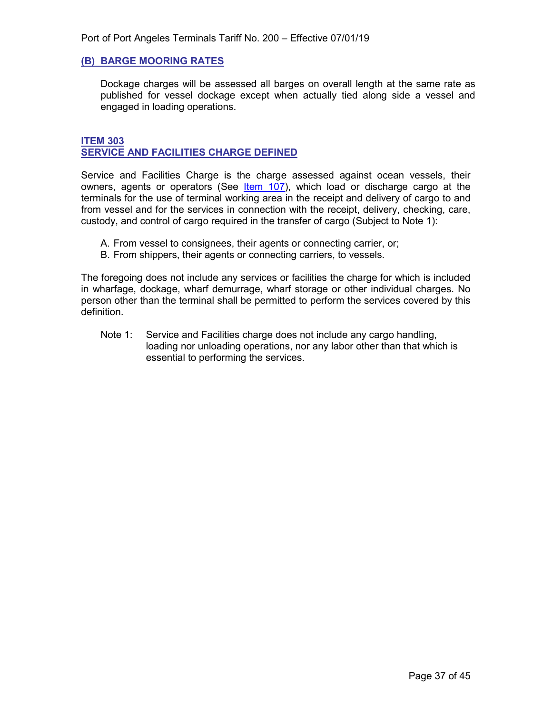#### <span id="page-36-0"></span>**(B) BARGE MOORING RATES**

Dockage charges will be assessed all barges on overall length at the same rate as published for vessel dockage except when actually tied along side a vessel and engaged in loading operations.

#### <span id="page-36-2"></span><span id="page-36-1"></span>**ITEM 303 SERVICE AND FACILITIES CHARGE DEFINED**

Service and Facilities Charge is the charge assessed against ocean vessels, their owners, agents or operators (See *[Item](#page-12-5) 107)*, which load or discharge cargo at the terminals for the use of terminal working area in the receipt and delivery of cargo to and from vessel and for the services in connection with the receipt, delivery, checking, care, custody, and control of cargo required in the transfer of cargo (Subject to Note 1):

- A. From vessel to consignees, their agents or connecting carrier, or;
- B. From shippers, their agents or connecting carriers, to vessels.

The foregoing does not include any services or facilities the charge for which is included in wharfage, dockage, wharf demurrage, wharf storage or other individual charges. No person other than the terminal shall be permitted to perform the services covered by this definition.

Note 1: Service and Facilities charge does not include any cargo handling, loading nor unloading operations, nor any labor other than that which is essential to performing the services.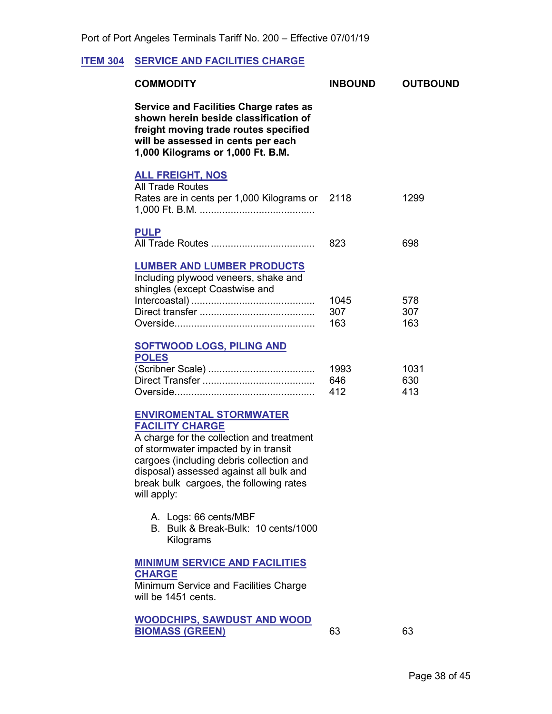# <span id="page-37-1"></span>**ITEM 304 SERVICE AND FACILITIES CHARGE**

<span id="page-37-5"></span><span id="page-37-4"></span><span id="page-37-3"></span><span id="page-37-0"></span>

| <b>COMMODITY</b>                                                                                                                                                                                                                                                                               | <b>INBOUND</b>     | <b>OUTBOUND</b>    |
|------------------------------------------------------------------------------------------------------------------------------------------------------------------------------------------------------------------------------------------------------------------------------------------------|--------------------|--------------------|
| <b>Service and Facilities Charge rates as</b><br>shown herein beside classification of<br>freight moving trade routes specified<br>will be assessed in cents per each<br>1,000 Kilograms or 1,000 Ft. B.M.                                                                                     |                    |                    |
| <b>ALL FREIGHT, NOS</b><br><b>All Trade Routes</b><br>Rates are in cents per 1,000 Kilograms or 2118                                                                                                                                                                                           |                    | 1299               |
| <b>PULP</b>                                                                                                                                                                                                                                                                                    | 823                | 698                |
| <b>LUMBER AND LUMBER PRODUCTS</b><br>Including plywood veneers, shake and<br>shingles (except Coastwise and                                                                                                                                                                                    | 1045<br>307<br>163 | 578<br>307<br>163  |
| <b>SOFTWOOD LOGS, PILING AND</b><br><b>POLES</b>                                                                                                                                                                                                                                               | 1993<br>646<br>412 | 1031<br>630<br>413 |
| <b>ENVIROMENTAL STORMWATER</b><br><b>FACILITY CHARGE</b><br>A charge for the collection and treatment<br>of stormwater impacted by in transit<br>cargoes (including debris collection and<br>disposal) assessed against all bulk and<br>break bulk cargoes, the following rates<br>will apply: |                    |                    |
| A. Logs: 66 cents/MBF<br>B. Bulk & Break-Bulk: 10 cents/1000<br>Kilograms                                                                                                                                                                                                                      |                    |                    |
| <b>MINIMUM SERVICE AND FACILITIES</b><br><b>CHARGE</b><br>Minimum Service and Facilities Charge<br>will be 1451 cents.                                                                                                                                                                         |                    |                    |

<span id="page-37-2"></span>**WOODCHIPS, SAWDUST AND WOOD**  RIOMASS (GREEN) 63 63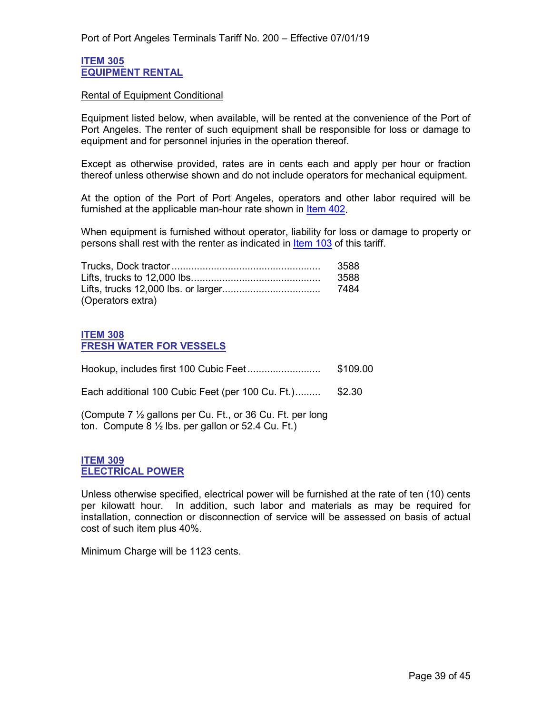#### <span id="page-38-1"></span><span id="page-38-0"></span>**ITEM 305 EQUIPMENT RENTAL**

#### Rental of Equipment Conditional

Equipment listed below, when available, will be rented at the convenience of the Port of Port Angeles. The renter of such equipment shall be responsible for loss or damage to equipment and for personnel injuries in the operation thereof.

Except as otherwise provided, rates are in cents each and apply per hour or fraction thereof unless otherwise shown and do not include operators for mechanical equipment.

At the option of the Port of Port Angeles, operators and other labor required will be furnished at the applicable man-hour rate shown in [Item 402.](#page-43-2)

When equipment is furnished without operator, liability for loss or damage to property or persons shall rest with the renter as indicated in [Item 103](#page-10-1) of this tariff.

|                   | 3588 |
|-------------------|------|
|                   | 3588 |
|                   |      |
| (Operators extra) |      |

#### <span id="page-38-3"></span><span id="page-38-2"></span>**ITEM 308 FRESH WATER FOR VESSELS**

|                                                                                                                            | \$109.00 |
|----------------------------------------------------------------------------------------------------------------------------|----------|
| Each additional 100 Cubic Feet (per 100 Cu. Ft.)                                                                           | \$2.30   |
| (Compute 7 1/2 gallons per Cu. Ft., or 36 Cu. Ft. per long<br>ton. Compute $8\frac{1}{2}$ lbs. per gallon or 52.4 Cu. Ft.) |          |

#### <span id="page-38-5"></span><span id="page-38-4"></span>**ITEM 309 ELECTRICAL POWER**

Unless otherwise specified, electrical power will be furnished at the rate of ten (10) cents per kilowatt hour. In addition, such labor and materials as may be required for installation, connection or disconnection of service will be assessed on basis of actual cost of such item plus 40%.

Minimum Charge will be 1123 cents.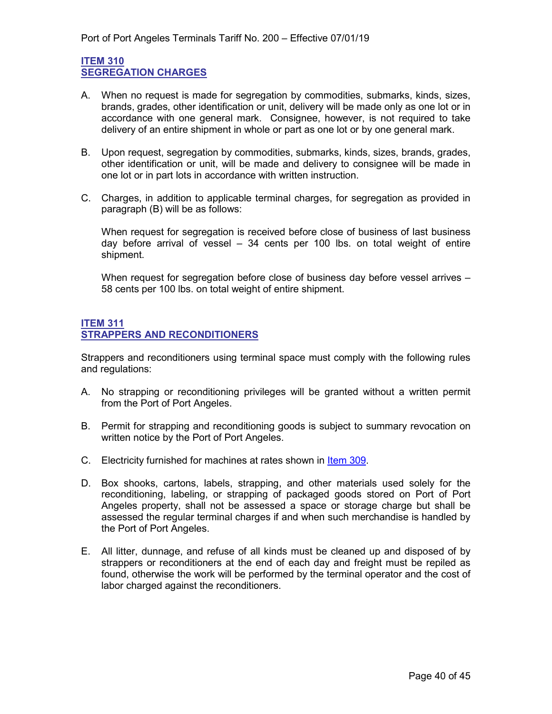#### <span id="page-39-1"></span><span id="page-39-0"></span>**ITEM 310 SEGREGATION CHARGES**

- A. When no request is made for segregation by commodities, submarks, kinds, sizes, brands, grades, other identification or unit, delivery will be made only as one lot or in accordance with one general mark. Consignee, however, is not required to take delivery of an entire shipment in whole or part as one lot or by one general mark.
- B. Upon request, segregation by commodities, submarks, kinds, sizes, brands, grades, other identification or unit, will be made and delivery to consignee will be made in one lot or in part lots in accordance with written instruction.
- C. Charges, in addition to applicable terminal charges, for segregation as provided in paragraph (B) will be as follows:

When request for segregation is received before close of business of last business day before arrival of vessel – 34 cents per 100 lbs. on total weight of entire shipment.

When request for segregation before close of business day before vessel arrives -58 cents per 100 lbs. on total weight of entire shipment.

#### <span id="page-39-3"></span><span id="page-39-2"></span>**ITEM 311 STRAPPERS AND RECONDITIONERS**

Strappers and reconditioners using terminal space must comply with the following rules and regulations:

- A. No strapping or reconditioning privileges will be granted without a written permit from the Port of Port Angeles.
- B. Permit for strapping and reconditioning goods is subject to summary revocation on written notice by the Port of Port Angeles.
- C. Electricity furnished for machines at rates shown in [Item 309.](#page-38-5)
- D. Box shooks, cartons, labels, strapping, and other materials used solely for the reconditioning, labeling, or strapping of packaged goods stored on Port of Port Angeles property, shall not be assessed a space or storage charge but shall be assessed the regular terminal charges if and when such merchandise is handled by the Port of Port Angeles.
- E. All litter, dunnage, and refuse of all kinds must be cleaned up and disposed of by strappers or reconditioners at the end of each day and freight must be repiled as found, otherwise the work will be performed by the terminal operator and the cost of labor charged against the reconditioners.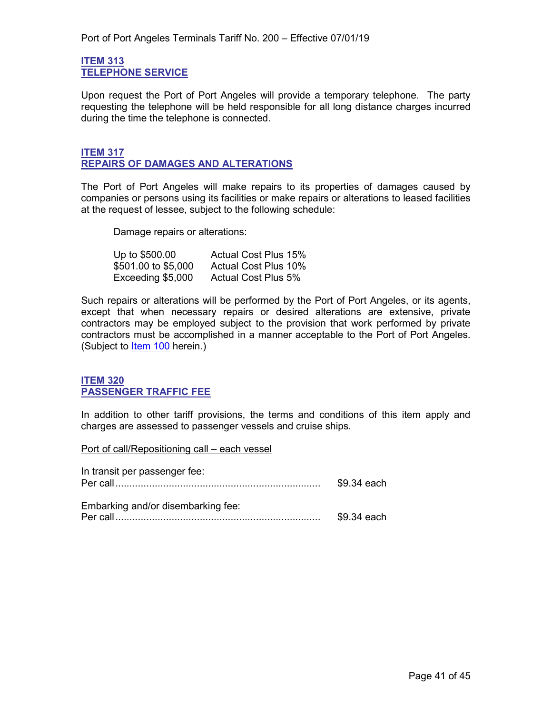#### <span id="page-40-1"></span><span id="page-40-0"></span>**ITEM 313 TELEPHONE SERVICE**

Upon request the Port of Port Angeles will provide a temporary telephone. The party requesting the telephone will be held responsible for all long distance charges incurred during the time the telephone is connected.

#### <span id="page-40-3"></span><span id="page-40-2"></span>**ITEM 317 REPAIRS OF DAMAGES AND ALTERATIONS**

The Port of Port Angeles will make repairs to its properties of damages caused by companies or persons using its facilities or make repairs or alterations to leased facilities at the request of lessee, subject to the following schedule:

Damage repairs or alterations:

| Up to \$500.00      | <b>Actual Cost Plus 15%</b> |
|---------------------|-----------------------------|
| \$501.00 to \$5,000 | <b>Actual Cost Plus 10%</b> |
| Exceeding \$5,000   | <b>Actual Cost Plus 5%</b>  |

Such repairs or alterations will be performed by the Port of Port Angeles, or its agents, except that when necessary repairs or desired alterations are extensive, private contractors may be employed subject to the provision that work performed by private contractors must be accomplished in a manner acceptable to the Port of Port Angeles. (Subject to [Item 100](#page-8-2) herein.)

#### <span id="page-40-5"></span><span id="page-40-4"></span>**ITEM 320 PASSENGER TRAFFIC FEE**

In addition to other tariff provisions, the terms and conditions of this item apply and charges are assessed to passenger vessels and cruise ships.

Port of call/Repositioning call – each vessel

| In transit per passenger fee:      | \$9.34 each |
|------------------------------------|-------------|
| Embarking and/or disembarking fee: | \$9.34 each |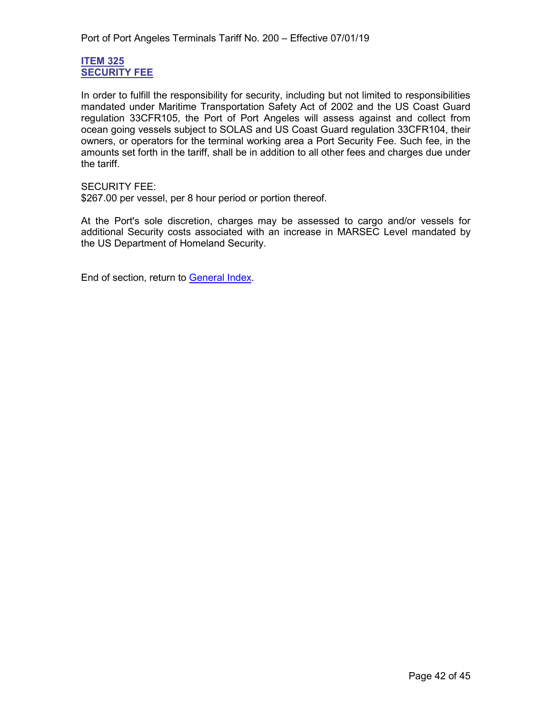#### <span id="page-41-1"></span><span id="page-41-0"></span>**ITEM 325 SECURITY FEE**

In order to fulfill the responsibility for security, including but not limited to responsibilities mandated under Maritime Transportation Safety Act of 2002 and the US Coast Guard regulation 33CFR105, the Port of Port Angeles will assess against and collect from ocean going vessels subject to SOLAS and US Coast Guard regulation 33CFR104, their owners, or operators for the terminal working area a Port Security Fee. Such fee, in the amounts set forth in the tariff, shall be in addition to all other fees and charges due under the tariff.

#### SECURITY FEE:

\$267.00 per vessel, per 8 hour period or portion thereof.

At the Port's sole discretion, charges may be assessed to cargo and/or vessels for additional Security costs associated with an increase in MARSEC Level mandated by the US Department of Homeland Security.

End of section, return to [General Index.](#page-3-0)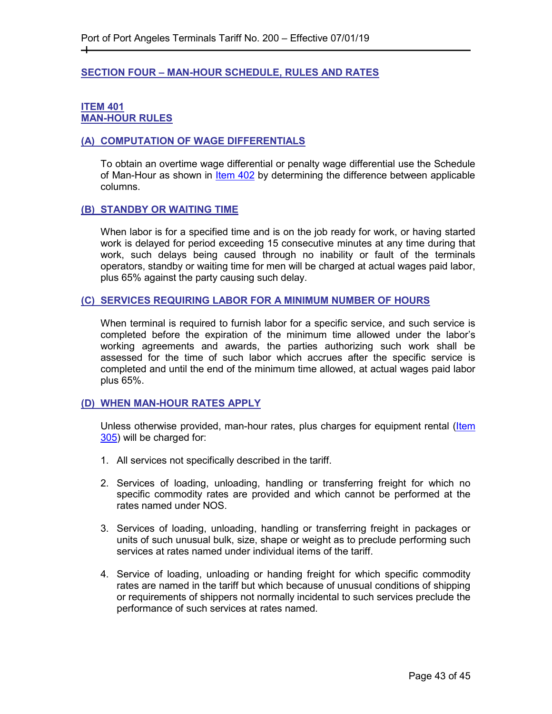#### <span id="page-42-0"></span>**SECTION FOUR – MAN-HOUR SCHEDULE, RULES AND RATES**

#### <span id="page-42-2"></span><span id="page-42-1"></span>**ITEM 401 MAN-HOUR RULES**

┿

#### <span id="page-42-3"></span>**(A) COMPUTATION OF WAGE DIFFERENTIALS**

To obtain an overtime wage differential or penalty wage differential use the Schedule of Man-Hour as shown in [Item 402](#page-43-2) by determining the difference between applicable columns.

#### <span id="page-42-4"></span>**(B) STANDBY OR WAITING TIME**

When labor is for a specified time and is on the job ready for work, or having started work is delayed for period exceeding 15 consecutive minutes at any time during that work, such delays being caused through no inability or fault of the terminals operators, standby or waiting time for men will be charged at actual wages paid labor, plus 65% against the party causing such delay.

#### <span id="page-42-5"></span>**(C) SERVICES REQUIRING LABOR FOR A MINIMUM NUMBER OF HOURS**

When terminal is required to furnish labor for a specific service, and such service is completed before the expiration of the minimum time allowed under the labor's working agreements and awards, the parties authorizing such work shall be assessed for the time of such labor which accrues after the specific service is completed and until the end of the minimum time allowed, at actual wages paid labor plus 65%.

#### <span id="page-42-6"></span>**(D) WHEN MAN-HOUR RATES APPLY**

Unless otherwise provided, man-hour rates, plus charges for equipment rental (Item [305\)](#page-38-1) will be charged for:

- 1. All services not specifically described in the tariff.
- 2. Services of loading, unloading, handling or transferring freight for which no specific commodity rates are provided and which cannot be performed at the rates named under NOS.
- 3. Services of loading, unloading, handling or transferring freight in packages or units of such unusual bulk, size, shape or weight as to preclude performing such services at rates named under individual items of the tariff.
- 4. Service of loading, unloading or handing freight for which specific commodity rates are named in the tariff but which because of unusual conditions of shipping or requirements of shippers not normally incidental to such services preclude the performance of such services at rates named.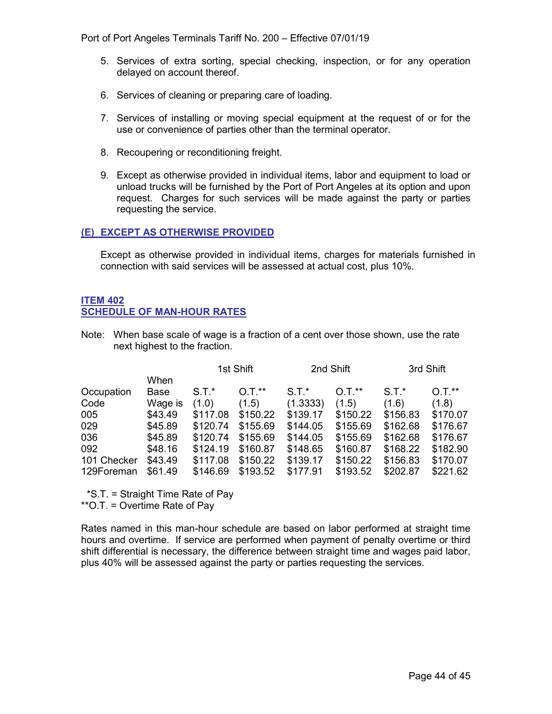Port of Port Angeles Terminals Tariff No. 200 – Effective 07/01/19

- 5. Services of extra sorting, special checking, inspection, or for any operation delayed on account thereof.
- 6. Services of cleaning or preparing care of loading.
- 7. Services of installing or moving special equipment at the request of or for the use or convenience of parties other than the terminal operator.
- 8. Recoupering or reconditioning freight.
- 9. Except as otherwise provided in individual items, labor and equipment to load or unload trucks will be furnished by the Port of Port Angeles at its option and upon request. Charges for such services will be made against the party or parties requesting the service.

#### <span id="page-43-0"></span>**(E) EXCEPT AS OTHERWISE PROVIDED**

Except as otherwise provided in individual items, charges for materials furnished in connection with said services will be assessed at actual cost, plus 10%.

#### <span id="page-43-2"></span><span id="page-43-1"></span>**ITEM 402 SCHEDULE OF MAN-HOUR RATES**

Note: When base scale of wage is a fraction of a cent over those shown, use the rate next highest to the fraction.

|             |         | 1st Shift |          | 2nd Shift |          | 3rd Shift |          |
|-------------|---------|-----------|----------|-----------|----------|-----------|----------|
|             | When    |           |          |           |          |           |          |
| Occupation  | Base    | $S.T.*$   | $O.T.**$ | $S.T.*$   | $0.7.*$  | $S.T.*$   | $0.7.*$  |
| Code        | Wage is | (1.0)     | (1.5)    | (1.3333)  | (1.5)    | (1.6)     | (1.8)    |
| 005         | \$43.49 | \$117.08  | \$150.22 | \$139.17  | \$150.22 | \$156.83  | \$170.07 |
| 029         | \$45.89 | \$120.74  | \$155.69 | \$144.05  | \$155.69 | \$162.68  | \$176.67 |
| 036         | \$45.89 | \$120.74  | \$155.69 | \$144.05  | \$155.69 | \$162.68  | \$176.67 |
| 092         | \$48.16 | \$124.19  | \$160.87 | \$148.65  | \$160.87 | \$168.22  | \$182.90 |
| 101 Checker | \$43.49 | \$117.08  | \$150.22 | \$139.17  | \$150.22 | \$156.83  | \$170.07 |
| 129Foreman  | \$61.49 | \$146.69  | \$193.52 | \$177.91  | \$193.52 | \$202.87  | \$221.62 |

\*S.T. = Straight Time Rate of Pay

\*\*O.T. = Overtime Rate of Pay

Rates named in this man-hour schedule are based on labor performed at straight time hours and overtime. If service are performed when payment of penalty overtime or third shift differential is necessary, the difference between straight time and wages paid labor, plus 40% will be assessed against the party or parties requesting the services.